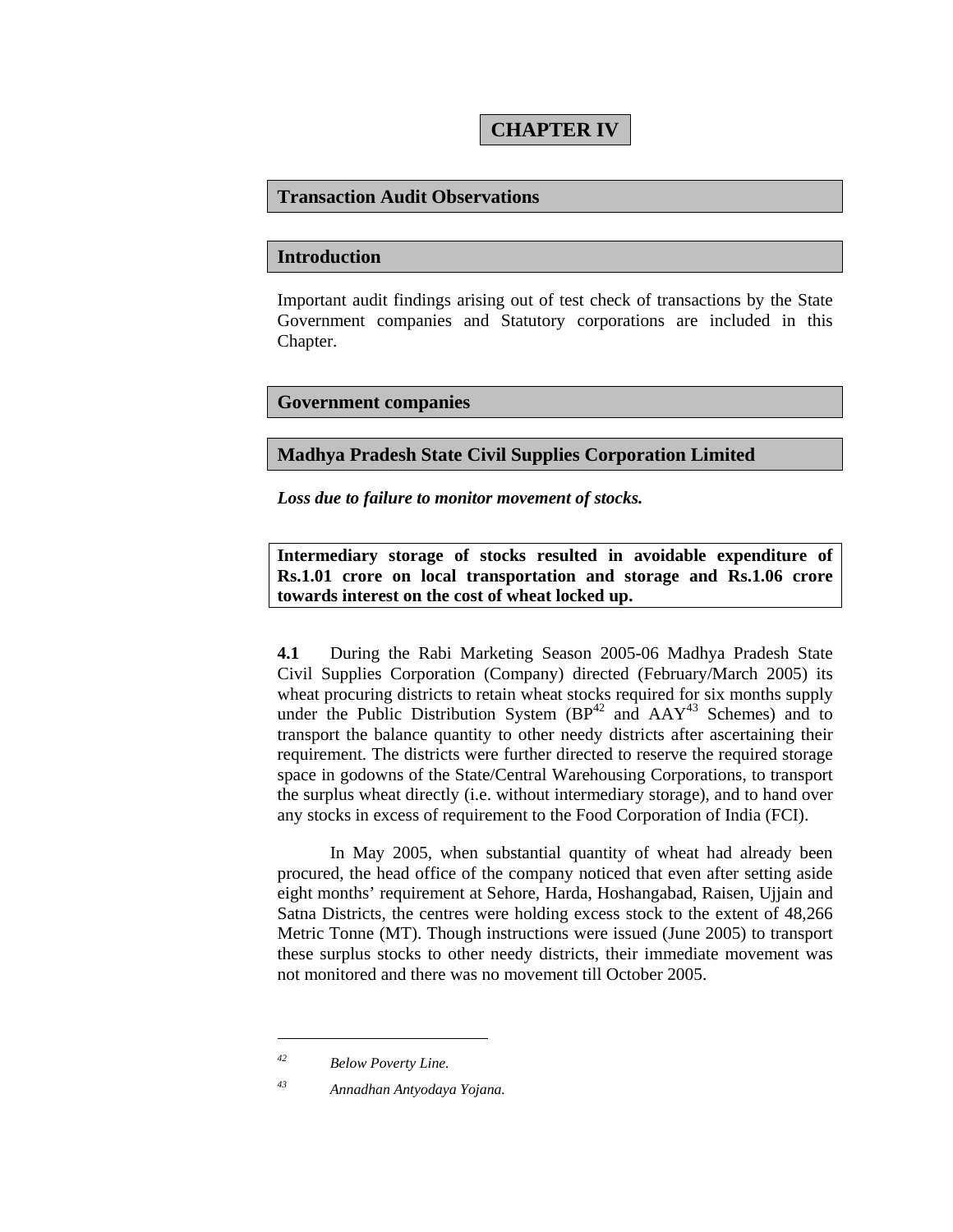# **CHAPTER IV**

### **Transaction Audit Observations**

#### **Introduction**

Important audit findings arising out of test check of transactions by the State Government companies and Statutory corporations are included in this Chapter.

#### **Government companies**

### **Madhya Pradesh State Civil Supplies Corporation Limited**

*Loss due to failure to monitor movement of stocks.* 

**Intermediary storage of stocks resulted in avoidable expenditure of Rs.1.01 crore on local transportation and storage and Rs.1.06 crore towards interest on the cost of wheat locked up.** 

**4.1** During the Rabi Marketing Season 2005-06 Madhya Pradesh State Civil Supplies Corporation (Company) directed (February/March 2005) its wheat procuring districts to retain wheat stocks required for six months supply under the Public Distribution System  $(BP<sup>42</sup>$  and  $AAY<sup>43</sup>$  Schemes) and to transport the balance quantity to other needy districts after ascertaining their requirement. The districts were further directed to reserve the required storage space in godowns of the State/Central Warehousing Corporations, to transport the surplus wheat directly (i.e. without intermediary storage), and to hand over any stocks in excess of requirement to the Food Corporation of India (FCI).

In May 2005, when substantial quantity of wheat had already been procured, the head office of the company noticed that even after setting aside eight months' requirement at Sehore, Harda, Hoshangabad, Raisen, Ujjain and Satna Districts, the centres were holding excess stock to the extent of 48,266 Metric Tonne (MT). Though instructions were issued (June 2005) to transport these surplus stocks to other needy districts, their immediate movement was not monitored and there was no movement till October 2005.

*<sup>42</sup> Below Poverty Line.* 

*<sup>43</sup> Annadhan Antyodaya Yojana.*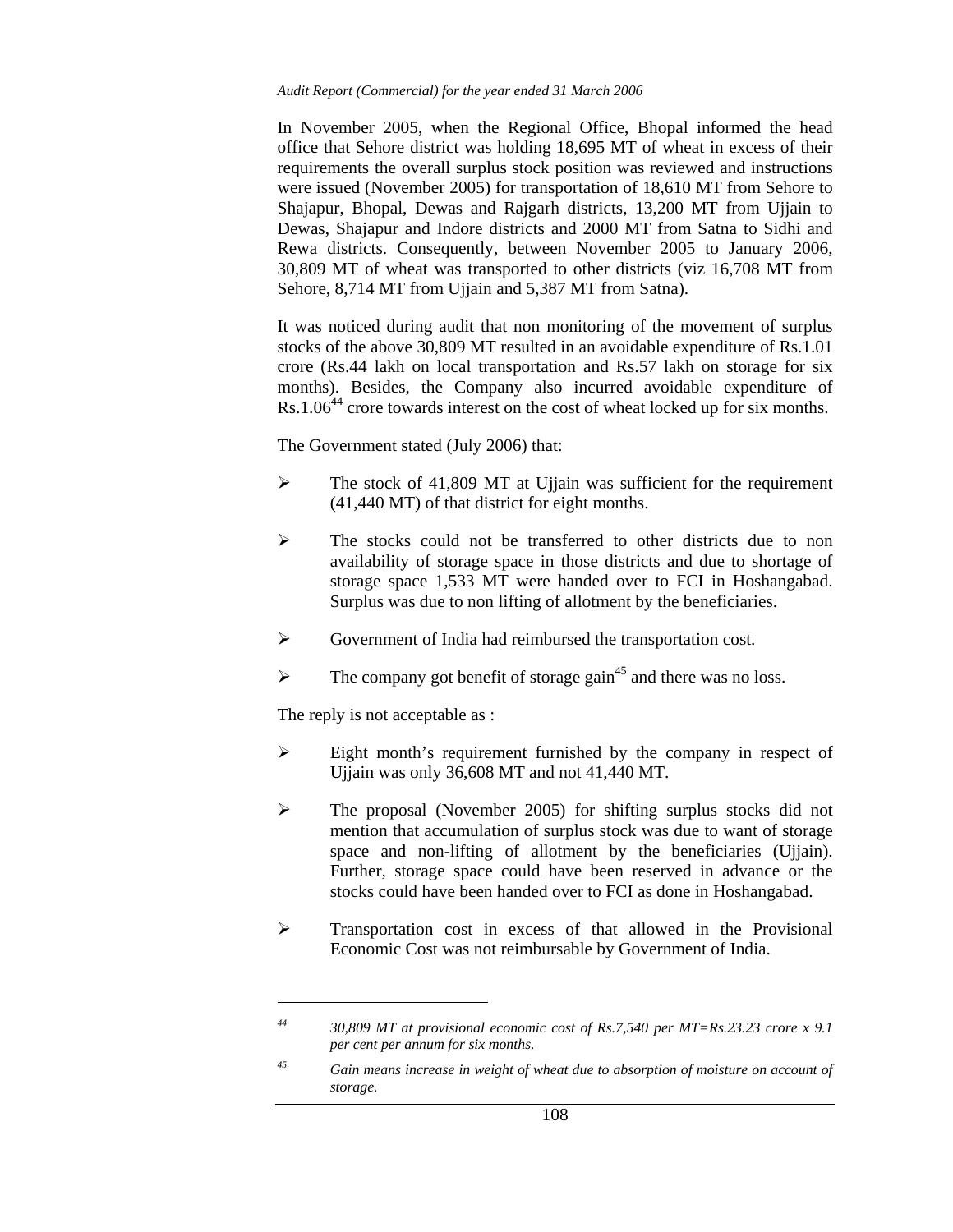#### *Audit Report (Commercial) for the year ended 31 March 2006*

In November 2005, when the Regional Office, Bhopal informed the head office that Sehore district was holding 18,695 MT of wheat in excess of their requirements the overall surplus stock position was reviewed and instructions were issued (November 2005) for transportation of 18,610 MT from Sehore to Shajapur, Bhopal, Dewas and Rajgarh districts, 13,200 MT from Ujjain to Dewas, Shajapur and Indore districts and 2000 MT from Satna to Sidhi and Rewa districts. Consequently, between November 2005 to January 2006, 30,809 MT of wheat was transported to other districts (viz 16,708 MT from Sehore, 8,714 MT from Ujjain and 5,387 MT from Satna).

It was noticed during audit that non monitoring of the movement of surplus stocks of the above 30,809 MT resulted in an avoidable expenditure of Rs.1.01 crore (Rs.44 lakh on local transportation and Rs.57 lakh on storage for six months). Besides, the Company also incurred avoidable expenditure of Rs.1.06<sup>44</sup> crore towards interest on the cost of wheat locked up for six months.

The Government stated (July 2006) that:

- $\triangleright$  The stock of 41,809 MT at Ujjain was sufficient for the requirement (41,440 MT) of that district for eight months.
- $\triangleright$  The stocks could not be transferred to other districts due to non availability of storage space in those districts and due to shortage of storage space 1,533 MT were handed over to FCI in Hoshangabad. Surplus was due to non lifting of allotment by the beneficiaries.
- ¾ Government of India had reimbursed the transportation cost.
- $\triangleright$  The company got benefit of storage gain<sup>45</sup> and there was no loss.

The reply is not acceptable as :

 $\overline{a}$ 

- $\triangleright$  Eight month's requirement furnished by the company in respect of Ujjain was only 36,608 MT and not 41,440 MT.
- ¾ The proposal (November 2005) for shifting surplus stocks did not mention that accumulation of surplus stock was due to want of storage space and non-lifting of allotment by the beneficiaries (Ujjain). Further, storage space could have been reserved in advance or the stocks could have been handed over to FCI as done in Hoshangabad.
- ¾ Transportation cost in excess of that allowed in the Provisional Economic Cost was not reimbursable by Government of India.

*<sup>44 30,809</sup> MT at provisional economic cost of Rs.7,540 per MT=Rs.23.23 crore x 9.1 per cent per annum for six months.* 

*<sup>45</sup> Gain means increase in weight of wheat due to absorption of moisture on account of storage.*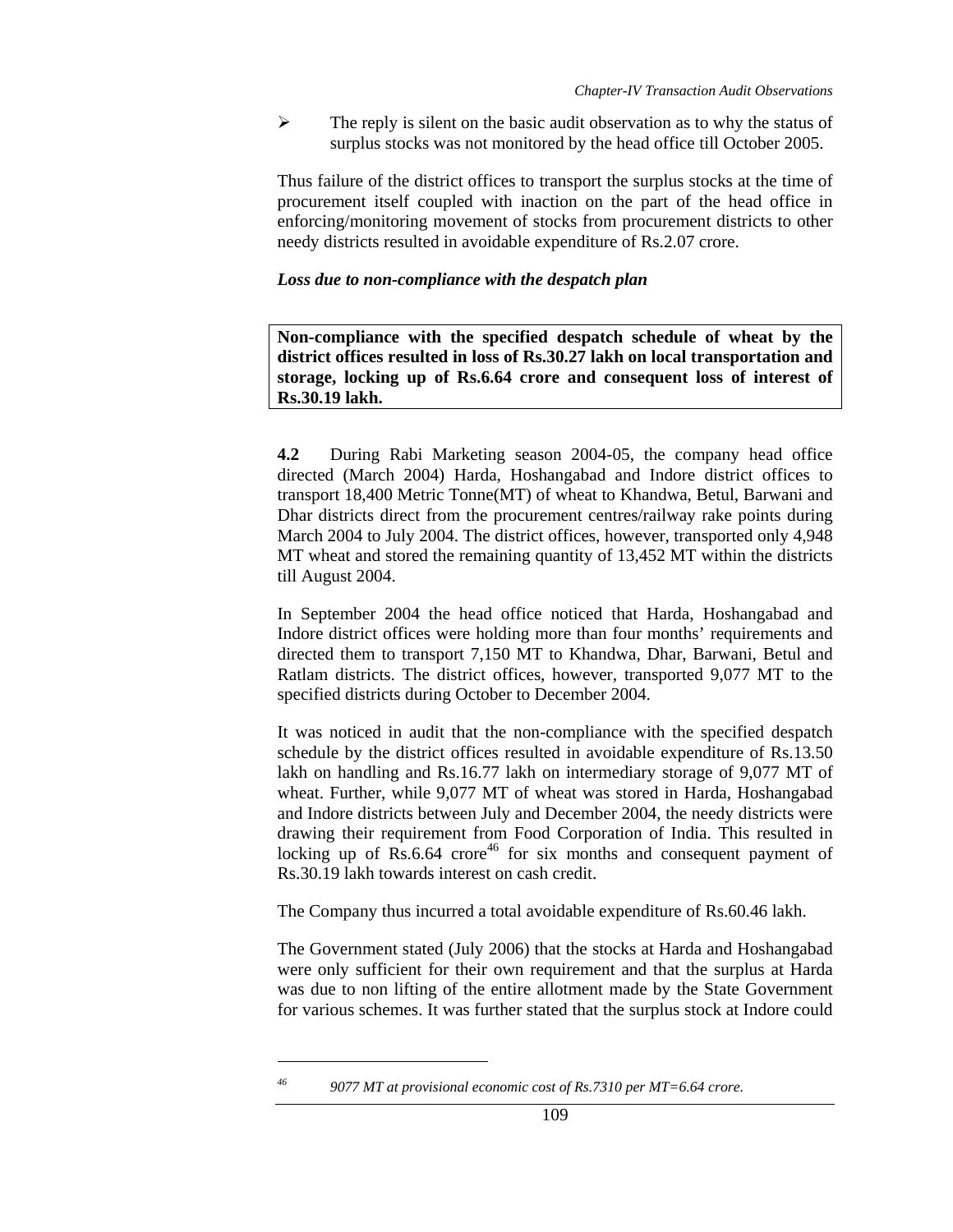$\triangleright$  The reply is silent on the basic audit observation as to why the status of surplus stocks was not monitored by the head office till October 2005.

Thus failure of the district offices to transport the surplus stocks at the time of procurement itself coupled with inaction on the part of the head office in enforcing/monitoring movement of stocks from procurement districts to other needy districts resulted in avoidable expenditure of Rs.2.07 crore.

### *Loss due to non-compliance with the despatch plan*

**Non-compliance with the specified despatch schedule of wheat by the district offices resulted in loss of Rs.30.27 lakh on local transportation and storage, locking up of Rs.6.64 crore and consequent loss of interest of Rs.30.19 lakh.** 

**4.2** During Rabi Marketing season 2004-05, the company head office directed (March 2004) Harda, Hoshangabad and Indore district offices to transport 18,400 Metric Tonne(MT) of wheat to Khandwa, Betul, Barwani and Dhar districts direct from the procurement centres/railway rake points during March 2004 to July 2004. The district offices, however, transported only 4,948 MT wheat and stored the remaining quantity of 13,452 MT within the districts till August 2004.

In September 2004 the head office noticed that Harda, Hoshangabad and Indore district offices were holding more than four months' requirements and directed them to transport 7,150 MT to Khandwa, Dhar, Barwani, Betul and Ratlam districts. The district offices, however, transported 9,077 MT to the specified districts during October to December 2004.

It was noticed in audit that the non-compliance with the specified despatch schedule by the district offices resulted in avoidable expenditure of Rs.13.50 lakh on handling and Rs.16.77 lakh on intermediary storage of 9,077 MT of wheat. Further, while 9,077 MT of wheat was stored in Harda, Hoshangabad and Indore districts between July and December 2004, the needy districts were drawing their requirement from Food Corporation of India. This resulted in locking up of  $Rs.6.64$  crore<sup>46</sup> for six months and consequent payment of Rs.30.19 lakh towards interest on cash credit.

The Company thus incurred a total avoidable expenditure of Rs.60.46 lakh.

The Government stated (July 2006) that the stocks at Harda and Hoshangabad were only sufficient for their own requirement and that the surplus at Harda was due to non lifting of the entire allotment made by the State Government for various schemes. It was further stated that the surplus stock at Indore could

*46 9077 MT at provisional economic cost of Rs.7310 per MT=6.64 crore.*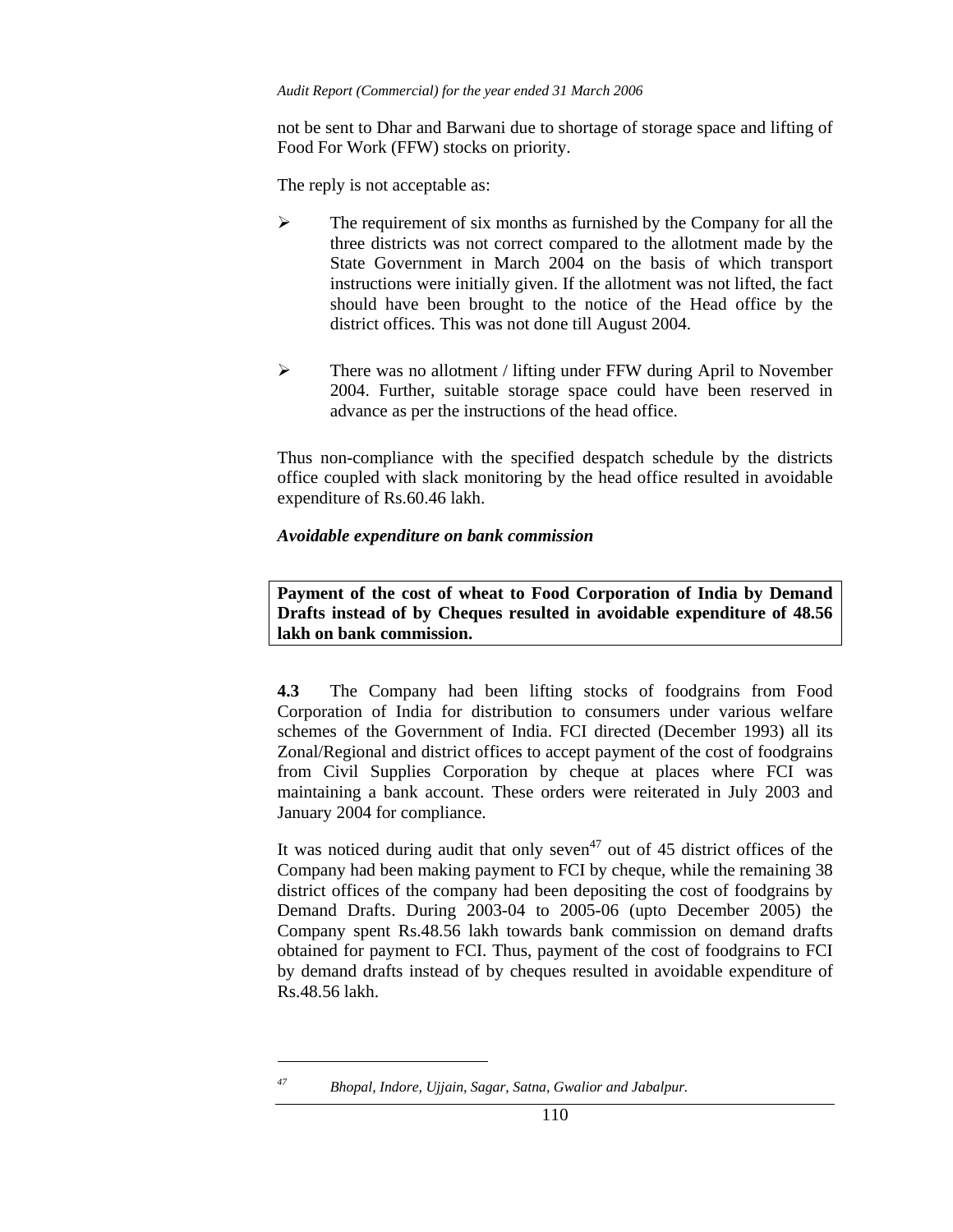not be sent to Dhar and Barwani due to shortage of storage space and lifting of Food For Work (FFW) stocks on priority.

The reply is not acceptable as:

- $\triangleright$  The requirement of six months as furnished by the Company for all the three districts was not correct compared to the allotment made by the State Government in March 2004 on the basis of which transport instructions were initially given. If the allotment was not lifted, the fact should have been brought to the notice of the Head office by the district offices. This was not done till August 2004.
- $\triangleright$  There was no allotment / lifting under FFW during April to November 2004. Further, suitable storage space could have been reserved in advance as per the instructions of the head office.

Thus non-compliance with the specified despatch schedule by the districts office coupled with slack monitoring by the head office resulted in avoidable expenditure of Rs.60.46 lakh.

### *Avoidable expenditure on bank commission*

**Payment of the cost of wheat to Food Corporation of India by Demand Drafts instead of by Cheques resulted in avoidable expenditure of 48.56 lakh on bank commission.** 

**4.3** The Company had been lifting stocks of foodgrains from Food Corporation of India for distribution to consumers under various welfare schemes of the Government of India. FCI directed (December 1993) all its Zonal/Regional and district offices to accept payment of the cost of foodgrains from Civil Supplies Corporation by cheque at places where FCI was maintaining a bank account. These orders were reiterated in July 2003 and January 2004 for compliance.

It was noticed during audit that only seven<sup>47</sup> out of 45 district offices of the Company had been making payment to FCI by cheque, while the remaining 38 district offices of the company had been depositing the cost of foodgrains by Demand Drafts. During 2003-04 to 2005-06 (upto December 2005) the Company spent Rs.48.56 lakh towards bank commission on demand drafts obtained for payment to FCI. Thus, payment of the cost of foodgrains to FCI by demand drafts instead of by cheques resulted in avoidable expenditure of Rs.48.56 lakh.

*<sup>47</sup> Bhopal, Indore, Ujjain, Sagar, Satna, Gwalior and Jabalpur.*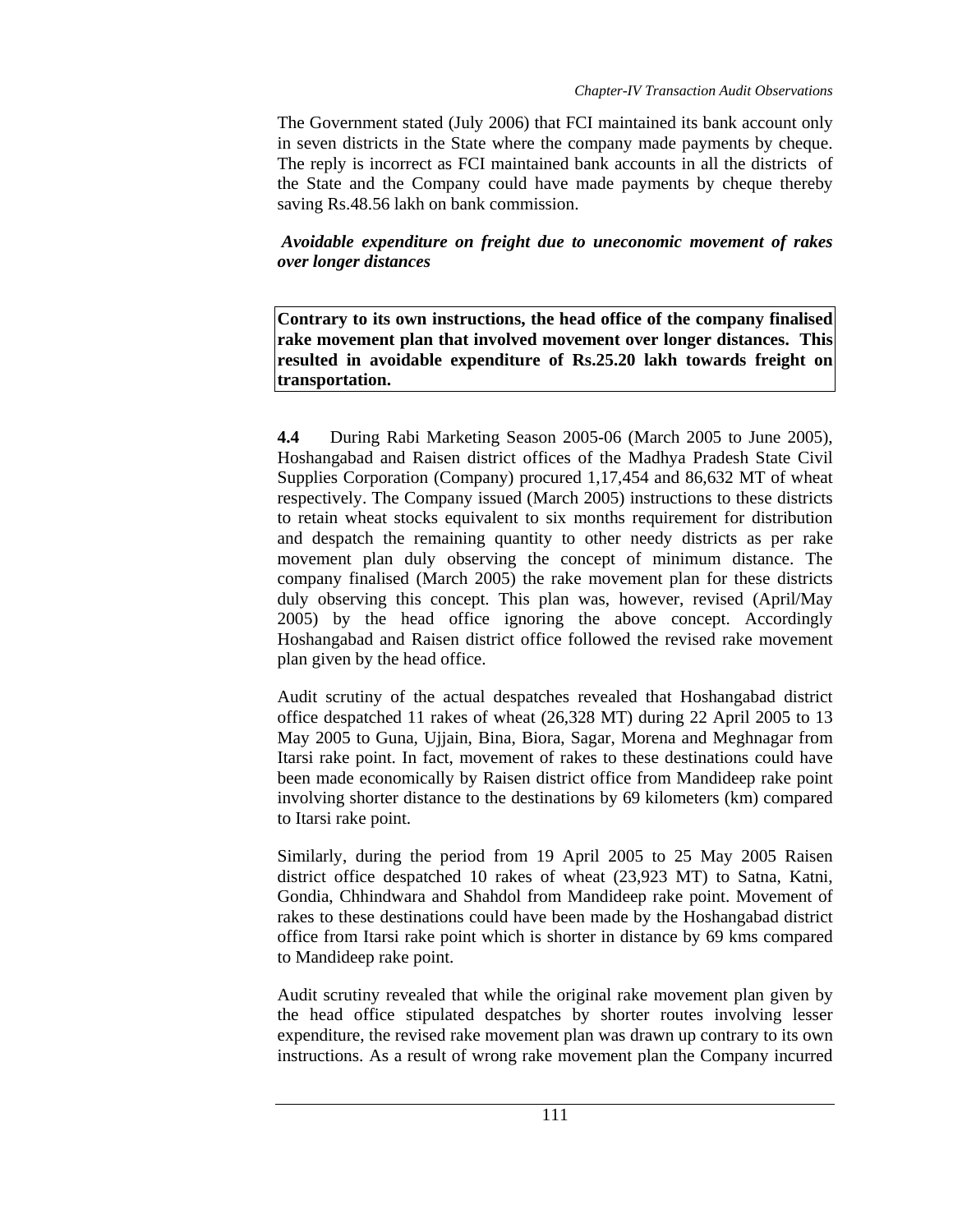The Government stated (July 2006) that FCI maintained its bank account only in seven districts in the State where the company made payments by cheque. The reply is incorrect as FCI maintained bank accounts in all the districts of the State and the Company could have made payments by cheque thereby saving Rs.48.56 lakh on bank commission.

 *Avoidable expenditure on freight due to uneconomic movement of rakes over longer distances* 

**Contrary to its own instructions, the head office of the company finalised rake movement plan that involved movement over longer distances. This resulted in avoidable expenditure of Rs.25.20 lakh towards freight on transportation.** 

**4.4** During Rabi Marketing Season 2005-06 (March 2005 to June 2005), Hoshangabad and Raisen district offices of the Madhya Pradesh State Civil Supplies Corporation (Company) procured 1,17,454 and 86,632 MT of wheat respectively. The Company issued (March 2005) instructions to these districts to retain wheat stocks equivalent to six months requirement for distribution and despatch the remaining quantity to other needy districts as per rake movement plan duly observing the concept of minimum distance. The company finalised (March 2005) the rake movement plan for these districts duly observing this concept. This plan was, however, revised (April/May 2005) by the head office ignoring the above concept. Accordingly Hoshangabad and Raisen district office followed the revised rake movement plan given by the head office.

Audit scrutiny of the actual despatches revealed that Hoshangabad district office despatched 11 rakes of wheat (26,328 MT) during 22 April 2005 to 13 May 2005 to Guna, Ujjain, Bina, Biora, Sagar, Morena and Meghnagar from Itarsi rake point. In fact, movement of rakes to these destinations could have been made economically by Raisen district office from Mandideep rake point involving shorter distance to the destinations by 69 kilometers (km) compared to Itarsi rake point.

Similarly, during the period from 19 April 2005 to 25 May 2005 Raisen district office despatched 10 rakes of wheat (23,923 MT) to Satna, Katni, Gondia, Chhindwara and Shahdol from Mandideep rake point. Movement of rakes to these destinations could have been made by the Hoshangabad district office from Itarsi rake point which is shorter in distance by 69 kms compared to Mandideep rake point.

Audit scrutiny revealed that while the original rake movement plan given by the head office stipulated despatches by shorter routes involving lesser expenditure, the revised rake movement plan was drawn up contrary to its own instructions. As a result of wrong rake movement plan the Company incurred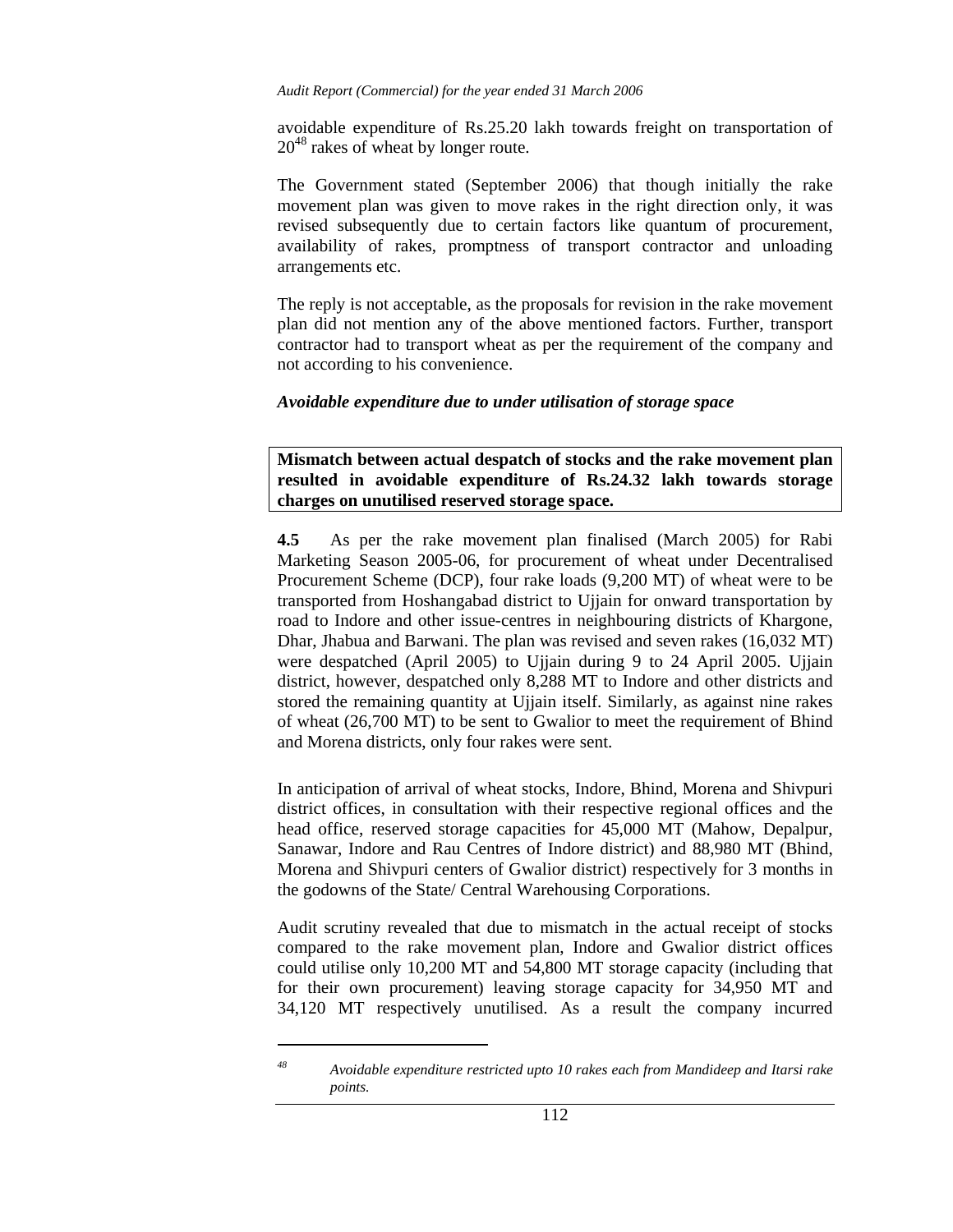avoidable expenditure of Rs.25.20 lakh towards freight on transportation of  $20^{48}$  rakes of wheat by longer route.

The Government stated (September 2006) that though initially the rake movement plan was given to move rakes in the right direction only, it was revised subsequently due to certain factors like quantum of procurement, availability of rakes, promptness of transport contractor and unloading arrangements etc.

The reply is not acceptable, as the proposals for revision in the rake movement plan did not mention any of the above mentioned factors. Further, transport contractor had to transport wheat as per the requirement of the company and not according to his convenience.

#### *Avoidable expenditure due to under utilisation of storage space*

**Mismatch between actual despatch of stocks and the rake movement plan resulted in avoidable expenditure of Rs.24.32 lakh towards storage charges on unutilised reserved storage space.** 

**4.5** As per the rake movement plan finalised (March 2005) for Rabi Marketing Season 2005-06, for procurement of wheat under Decentralised Procurement Scheme (DCP), four rake loads (9,200 MT) of wheat were to be transported from Hoshangabad district to Ujjain for onward transportation by road to Indore and other issue-centres in neighbouring districts of Khargone, Dhar, Jhabua and Barwani. The plan was revised and seven rakes (16,032 MT) were despatched (April 2005) to Ujjain during 9 to 24 April 2005. Ujjain district, however, despatched only 8,288 MT to Indore and other districts and stored the remaining quantity at Ujjain itself. Similarly, as against nine rakes of wheat (26,700 MT) to be sent to Gwalior to meet the requirement of Bhind and Morena districts, only four rakes were sent.

In anticipation of arrival of wheat stocks, Indore, Bhind, Morena and Shivpuri district offices, in consultation with their respective regional offices and the head office, reserved storage capacities for 45,000 MT (Mahow, Depalpur, Sanawar, Indore and Rau Centres of Indore district) and 88,980 MT (Bhind, Morena and Shivpuri centers of Gwalior district) respectively for 3 months in the godowns of the State/ Central Warehousing Corporations.

Audit scrutiny revealed that due to mismatch in the actual receipt of stocks compared to the rake movement plan, Indore and Gwalior district offices could utilise only 10,200 MT and 54,800 MT storage capacity (including that for their own procurement) leaving storage capacity for 34,950 MT and 34,120 MT respectively unutilised. As a result the company incurred

*<sup>48</sup> Avoidable expenditure restricted upto 10 rakes each from Mandideep and Itarsi rake points.*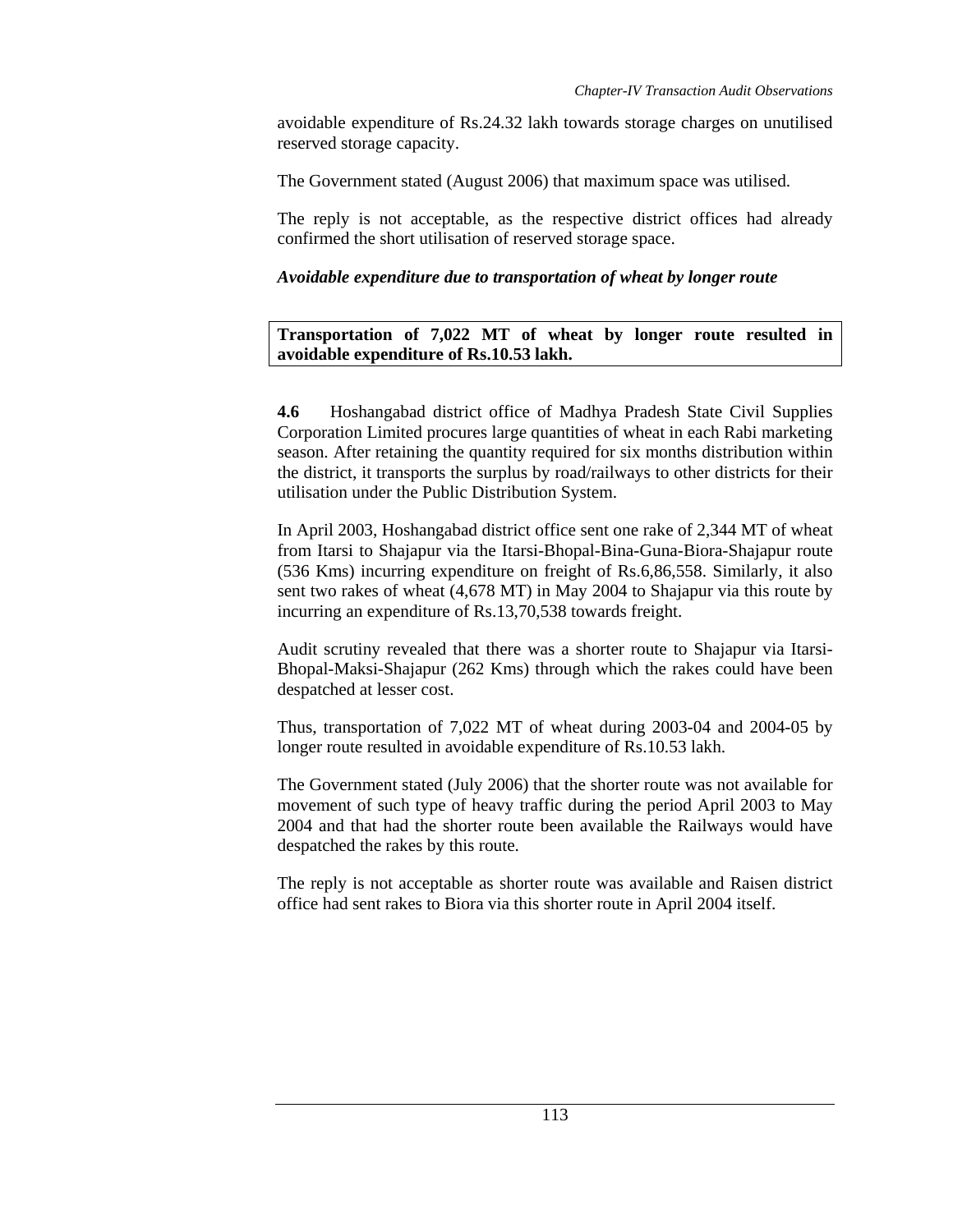avoidable expenditure of Rs.24.32 lakh towards storage charges on unutilised reserved storage capacity.

The Government stated (August 2006) that maximum space was utilised.

The reply is not acceptable, as the respective district offices had already confirmed the short utilisation of reserved storage space.

# *Avoidable expenditure due to transp***o***rtation of wheat by longer route*

**Transportation of 7,022 MT of wheat by longer route resulted in avoidable expenditure of Rs.10.53 lakh.** 

**4.6** Hoshangabad district office of Madhya Pradesh State Civil Supplies Corporation Limited procures large quantities of wheat in each Rabi marketing season. After retaining the quantity required for six months distribution within the district, it transports the surplus by road/railways to other districts for their utilisation under the Public Distribution System.

In April 2003, Hoshangabad district office sent one rake of 2,344 MT of wheat from Itarsi to Shajapur via the Itarsi-Bhopal-Bina-Guna-Biora-Shajapur route (536 Kms) incurring expenditure on freight of Rs.6,86,558. Similarly, it also sent two rakes of wheat (4,678 MT) in May 2004 to Shajapur via this route by incurring an expenditure of Rs.13,70,538 towards freight.

Audit scrutiny revealed that there was a shorter route to Shajapur via Itarsi-Bhopal-Maksi-Shajapur (262 Kms) through which the rakes could have been despatched at lesser cost.

Thus, transportation of 7,022 MT of wheat during 2003-04 and 2004-05 by longer route resulted in avoidable expenditure of Rs.10.53 lakh.

The Government stated (July 2006) that the shorter route was not available for movement of such type of heavy traffic during the period April 2003 to May 2004 and that had the shorter route been available the Railways would have despatched the rakes by this route.

The reply is not acceptable as shorter route was available and Raisen district office had sent rakes to Biora via this shorter route in April 2004 itself.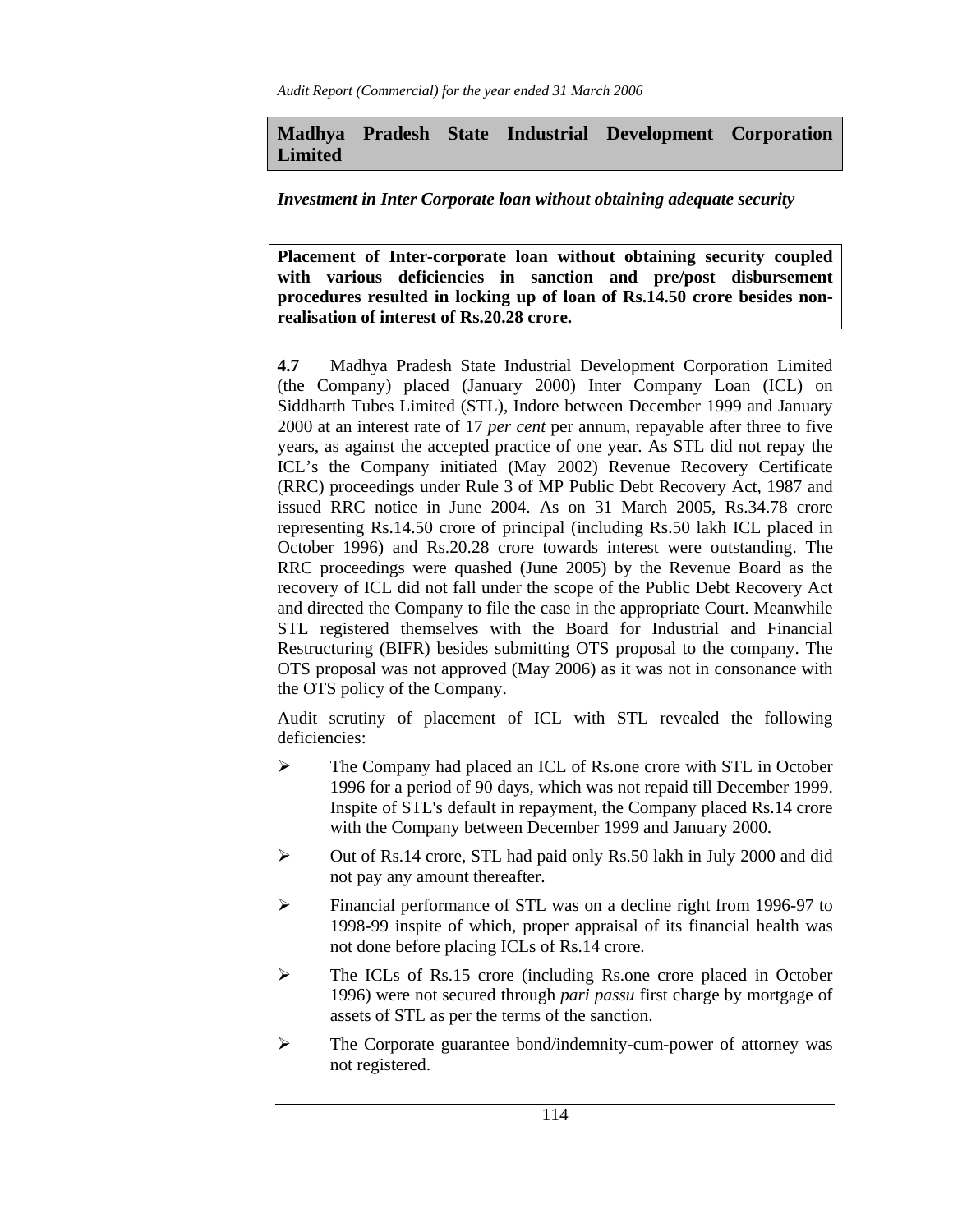# **Madhya Pradesh State Industrial Development Corporation Limited**

## *Investment in Inter Corporate loan without obtaining adequate security*

**Placement of Inter-corporate loan without obtaining security coupled with various deficiencies in sanction and pre/post disbursement procedures resulted in locking up of loan of Rs.14.50 crore besides nonrealisation of interest of Rs.20.28 crore.** 

**4.7** Madhya Pradesh State Industrial Development Corporation Limited (the Company) placed (January 2000) Inter Company Loan (ICL) on Siddharth Tubes Limited (STL), Indore between December 1999 and January 2000 at an interest rate of 17 *per cent* per annum, repayable after three to five years, as against the accepted practice of one year. As STL did not repay the ICL's the Company initiated (May 2002) Revenue Recovery Certificate (RRC) proceedings under Rule 3 of MP Public Debt Recovery Act, 1987 and issued RRC notice in June 2004. As on 31 March 2005, Rs.34.78 crore representing Rs.14.50 crore of principal (including Rs.50 lakh ICL placed in October 1996) and Rs.20.28 crore towards interest were outstanding. The RRC proceedings were quashed (June 2005) by the Revenue Board as the recovery of ICL did not fall under the scope of the Public Debt Recovery Act and directed the Company to file the case in the appropriate Court. Meanwhile STL registered themselves with the Board for Industrial and Financial Restructuring (BIFR) besides submitting OTS proposal to the company. The OTS proposal was not approved (May 2006) as it was not in consonance with the OTS policy of the Company.

Audit scrutiny of placement of ICL with STL revealed the following deficiencies:

- ¾ The Company had placed an ICL of Rs.one crore with STL in October 1996 for a period of 90 days, which was not repaid till December 1999. Inspite of STL's default in repayment, the Company placed Rs.14 crore with the Company between December 1999 and January 2000.
- $\triangleright$  Out of Rs.14 crore, STL had paid only Rs.50 lakh in July 2000 and did not pay any amount thereafter.
- ¾ Financial performance of STL was on a decline right from 1996-97 to 1998-99 inspite of which, proper appraisal of its financial health was not done before placing ICLs of Rs.14 crore.
- ¾ The ICLs of Rs.15 crore (including Rs.one crore placed in October 1996) were not secured through *pari passu* first charge by mortgage of assets of STL as per the terms of the sanction.
- ¾ The Corporate guarantee bond/indemnity-cum-power of attorney was not registered.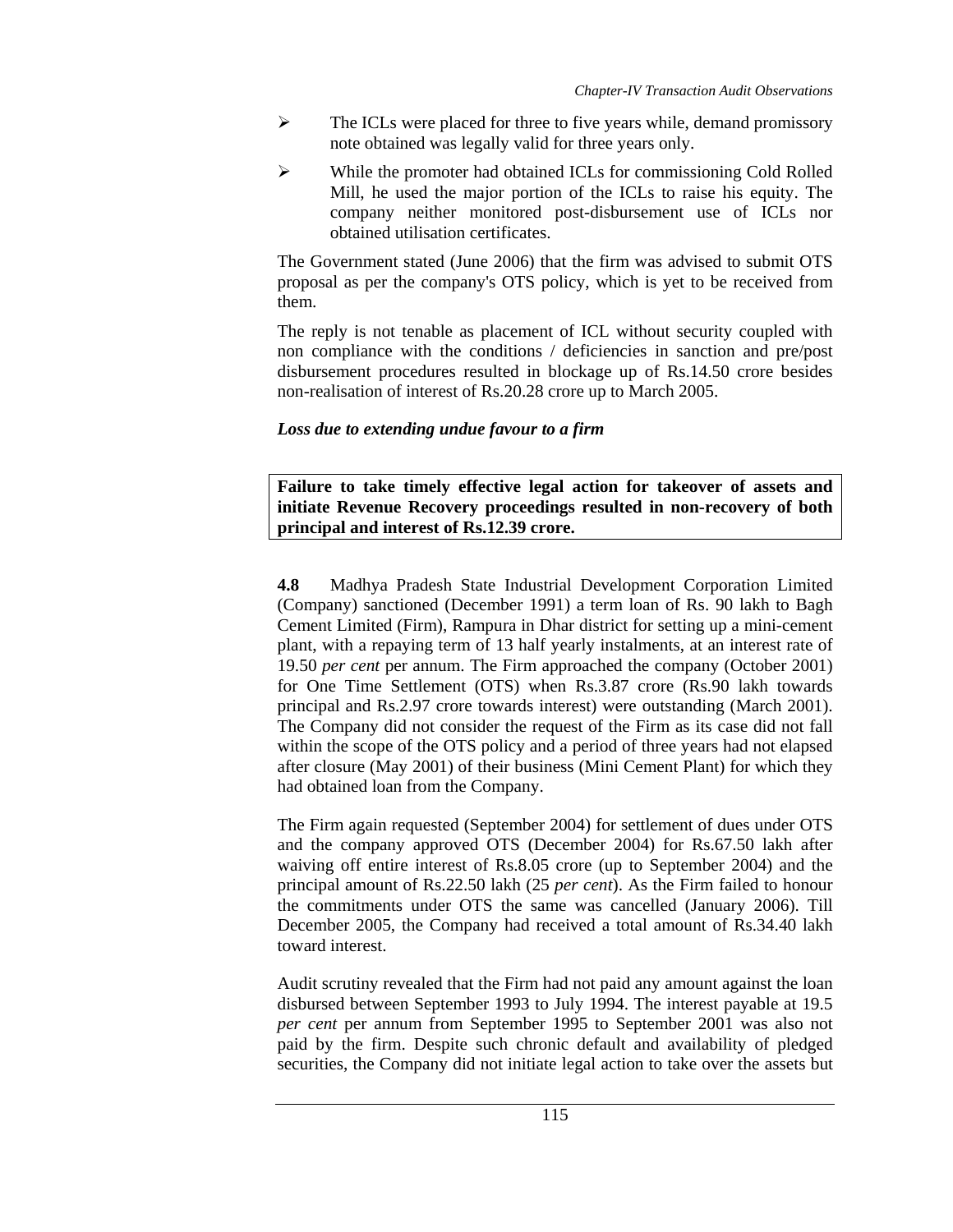- $\triangleright$  The ICLs were placed for three to five years while, demand promissory note obtained was legally valid for three years only.
- $\triangleright$  While the promoter had obtained ICLs for commissioning Cold Rolled Mill, he used the major portion of the ICLs to raise his equity. The company neither monitored post-disbursement use of ICLs nor obtained utilisation certificates.

The Government stated (June 2006) that the firm was advised to submit OTS proposal as per the company's OTS policy, which is yet to be received from them.

The reply is not tenable as placement of ICL without security coupled with non compliance with the conditions / deficiencies in sanction and pre/post disbursement procedures resulted in blockage up of Rs.14.50 crore besides non-realisation of interest of Rs.20.28 crore up to March 2005.

# *Loss due to extending undue favour to a firm*

**Failure to take timely effective legal action for takeover of assets and initiate Revenue Recovery proceedings resulted in non-recovery of both principal and interest of Rs.12.39 crore.** 

**4.8** Madhya Pradesh State Industrial Development Corporation Limited (Company) sanctioned (December 1991) a term loan of Rs. 90 lakh to Bagh Cement Limited (Firm), Rampura in Dhar district for setting up a mini-cement plant, with a repaying term of 13 half yearly instalments, at an interest rate of 19.50 *per cent* per annum. The Firm approached the company (October 2001) for One Time Settlement (OTS) when Rs.3.87 crore (Rs.90 lakh towards principal and Rs.2.97 crore towards interest) were outstanding (March 2001). The Company did not consider the request of the Firm as its case did not fall within the scope of the OTS policy and a period of three years had not elapsed after closure (May 2001) of their business (Mini Cement Plant) for which they had obtained loan from the Company.

The Firm again requested (September 2004) for settlement of dues under OTS and the company approved OTS (December 2004) for Rs.67.50 lakh after waiving off entire interest of Rs.8.05 crore (up to September 2004) and the principal amount of Rs.22.50 lakh (25 *per cent*). As the Firm failed to honour the commitments under OTS the same was cancelled (January 2006). Till December 2005, the Company had received a total amount of Rs.34.40 lakh toward interest.

Audit scrutiny revealed that the Firm had not paid any amount against the loan disbursed between September 1993 to July 1994. The interest payable at 19.5 *per cent* per annum from September 1995 to September 2001 was also not paid by the firm. Despite such chronic default and availability of pledged securities, the Company did not initiate legal action to take over the assets but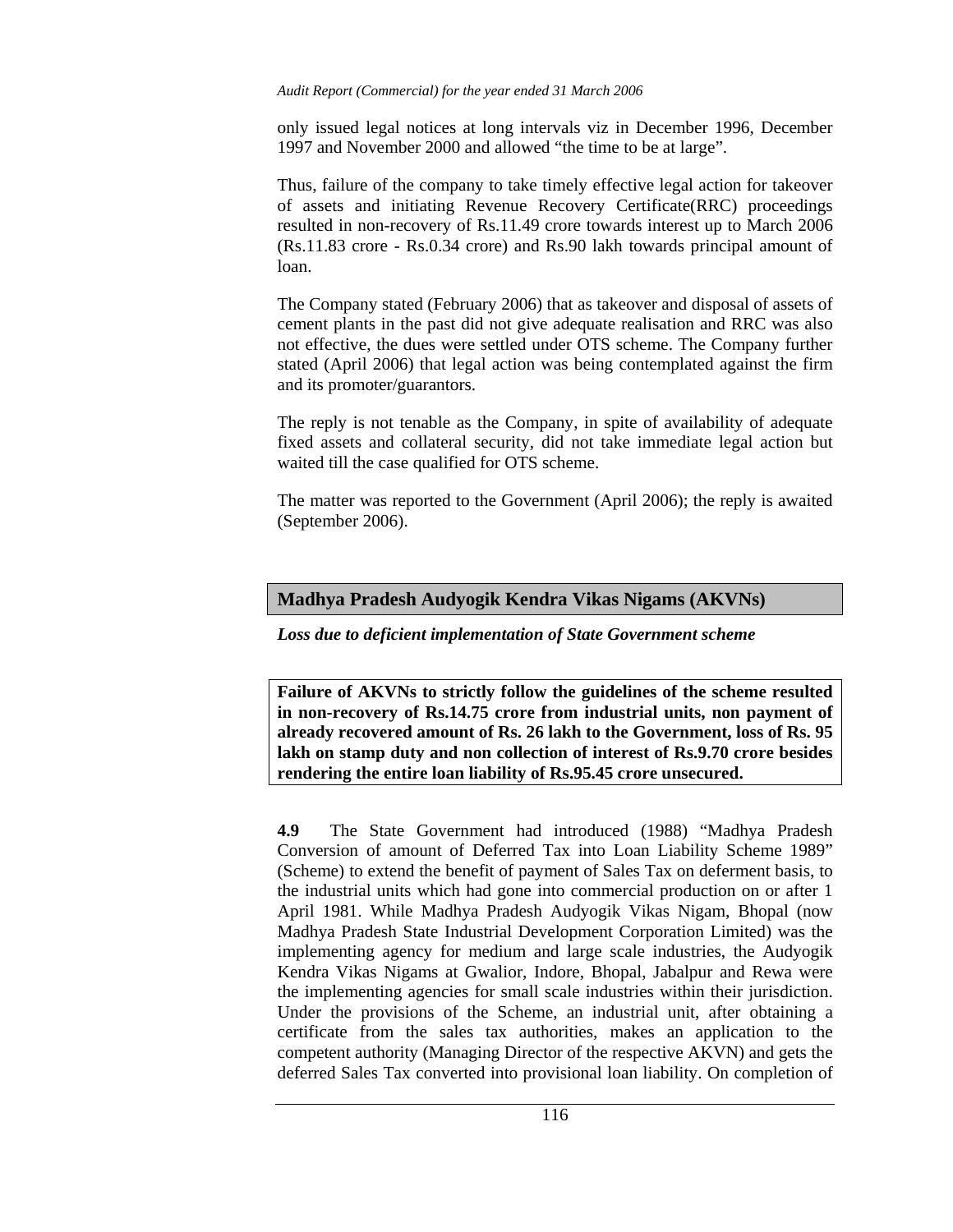only issued legal notices at long intervals viz in December 1996, December 1997 and November 2000 and allowed "the time to be at large".

Thus, failure of the company to take timely effective legal action for takeover of assets and initiating Revenue Recovery Certificate(RRC) proceedings resulted in non-recovery of Rs.11.49 crore towards interest up to March 2006 (Rs.11.83 crore - Rs.0.34 crore) and Rs.90 lakh towards principal amount of loan.

The Company stated (February 2006) that as takeover and disposal of assets of cement plants in the past did not give adequate realisation and RRC was also not effective, the dues were settled under OTS scheme. The Company further stated (April 2006) that legal action was being contemplated against the firm and its promoter/guarantors.

The reply is not tenable as the Company, in spite of availability of adequate fixed assets and collateral security, did not take immediate legal action but waited till the case qualified for OTS scheme.

The matter was reported to the Government (April 2006); the reply is awaited (September 2006).

## **Madhya Pradesh Audyogik Kendra Vikas Nigams (AKVNs)**

*Loss due to deficient implementation of State Government scheme* 

**Failure of AKVNs to strictly follow the guidelines of the scheme resulted in non-recovery of Rs.14.75 crore from industrial units, non payment of already recovered amount of Rs. 26 lakh to the Government, loss of Rs. 95 lakh on stamp duty and non collection of interest of Rs.9.70 crore besides rendering the entire loan liability of Rs.95.45 crore unsecured.** 

**4.9** The State Government had introduced (1988) "Madhya Pradesh Conversion of amount of Deferred Tax into Loan Liability Scheme 1989" (Scheme) to extend the benefit of payment of Sales Tax on deferment basis, to the industrial units which had gone into commercial production on or after 1 April 1981. While Madhya Pradesh Audyogik Vikas Nigam, Bhopal (now Madhya Pradesh State Industrial Development Corporation Limited) was the implementing agency for medium and large scale industries, the Audyogik Kendra Vikas Nigams at Gwalior, Indore, Bhopal, Jabalpur and Rewa were the implementing agencies for small scale industries within their jurisdiction. Under the provisions of the Scheme, an industrial unit, after obtaining a certificate from the sales tax authorities, makes an application to the competent authority (Managing Director of the respective AKVN) and gets the deferred Sales Tax converted into provisional loan liability. On completion of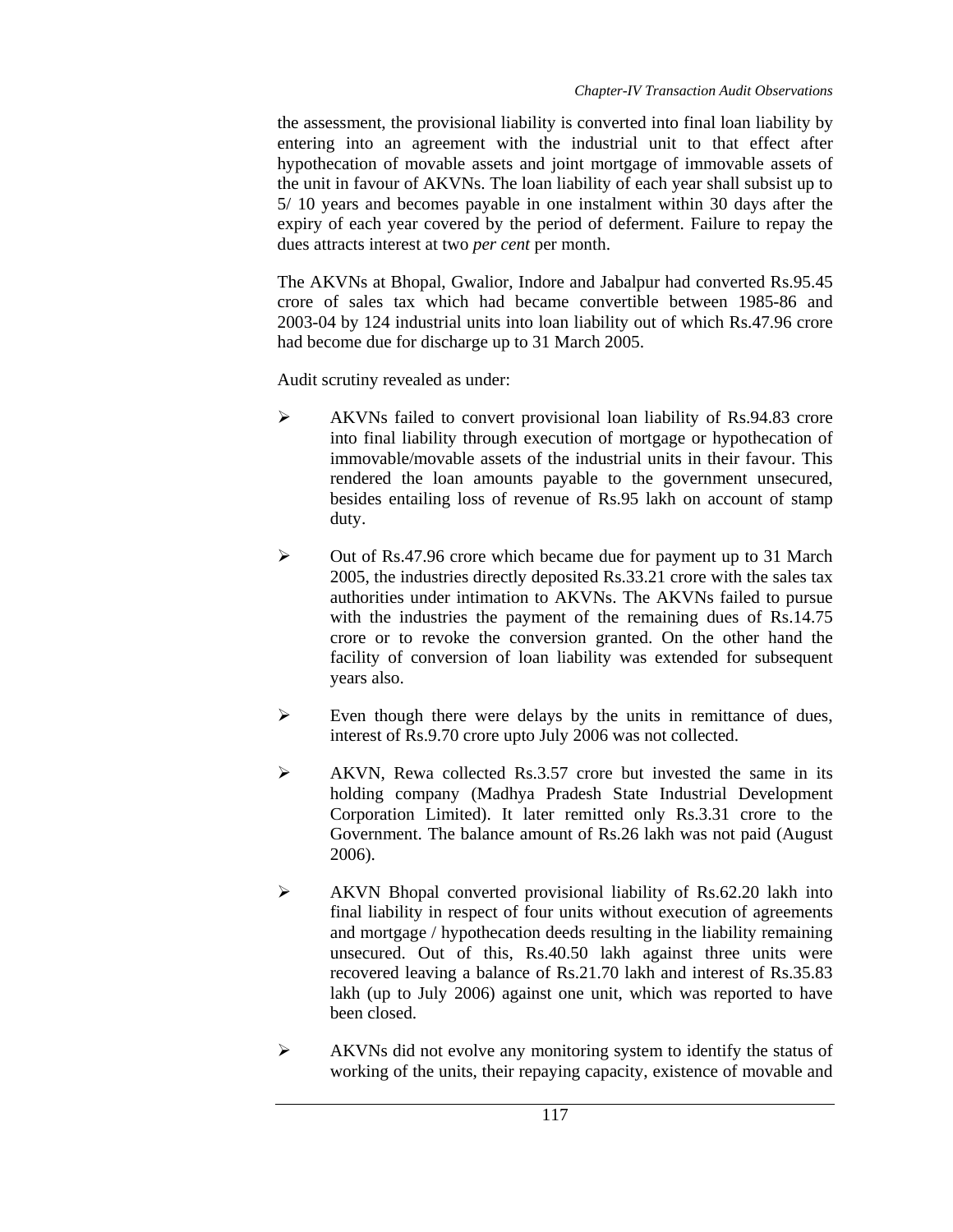the assessment, the provisional liability is converted into final loan liability by entering into an agreement with the industrial unit to that effect after hypothecation of movable assets and joint mortgage of immovable assets of the unit in favour of AKVNs. The loan liability of each year shall subsist up to 5/ 10 years and becomes payable in one instalment within 30 days after the expiry of each year covered by the period of deferment. Failure to repay the dues attracts interest at two *per cent* per month.

The AKVNs at Bhopal, Gwalior, Indore and Jabalpur had converted Rs.95.45 crore of sales tax which had became convertible between 1985-86 and 2003-04 by 124 industrial units into loan liability out of which Rs.47.96 crore had become due for discharge up to 31 March 2005.

Audit scrutiny revealed as under:

- ¾ AKVNs failed to convert provisional loan liability of Rs.94.83 crore into final liability through execution of mortgage or hypothecation of immovable/movable assets of the industrial units in their favour. This rendered the loan amounts payable to the government unsecured, besides entailing loss of revenue of Rs.95 lakh on account of stamp duty.
- ¾ Out of Rs.47.96 crore which became due for payment up to 31 March 2005, the industries directly deposited Rs.33.21 crore with the sales tax authorities under intimation to AKVNs. The AKVNs failed to pursue with the industries the payment of the remaining dues of Rs.14.75 crore or to revoke the conversion granted. On the other hand the facility of conversion of loan liability was extended for subsequent years also.
- $\triangleright$  Even though there were delays by the units in remittance of dues, interest of Rs.9.70 crore upto July 2006 was not collected.
- $\triangleright$  AKVN, Rewa collected Rs.3.57 crore but invested the same in its holding company (Madhya Pradesh State Industrial Development Corporation Limited). It later remitted only Rs.3.31 crore to the Government. The balance amount of Rs.26 lakh was not paid (August 2006).
- ¾ AKVN Bhopal converted provisional liability of Rs.62.20 lakh into final liability in respect of four units without execution of agreements and mortgage / hypothecation deeds resulting in the liability remaining unsecured. Out of this, Rs.40.50 lakh against three units were recovered leaving a balance of Rs.21.70 lakh and interest of Rs.35.83 lakh (up to July 2006) against one unit, which was reported to have been closed.
- ¾ AKVNs did not evolve any monitoring system to identify the status of working of the units, their repaying capacity, existence of movable and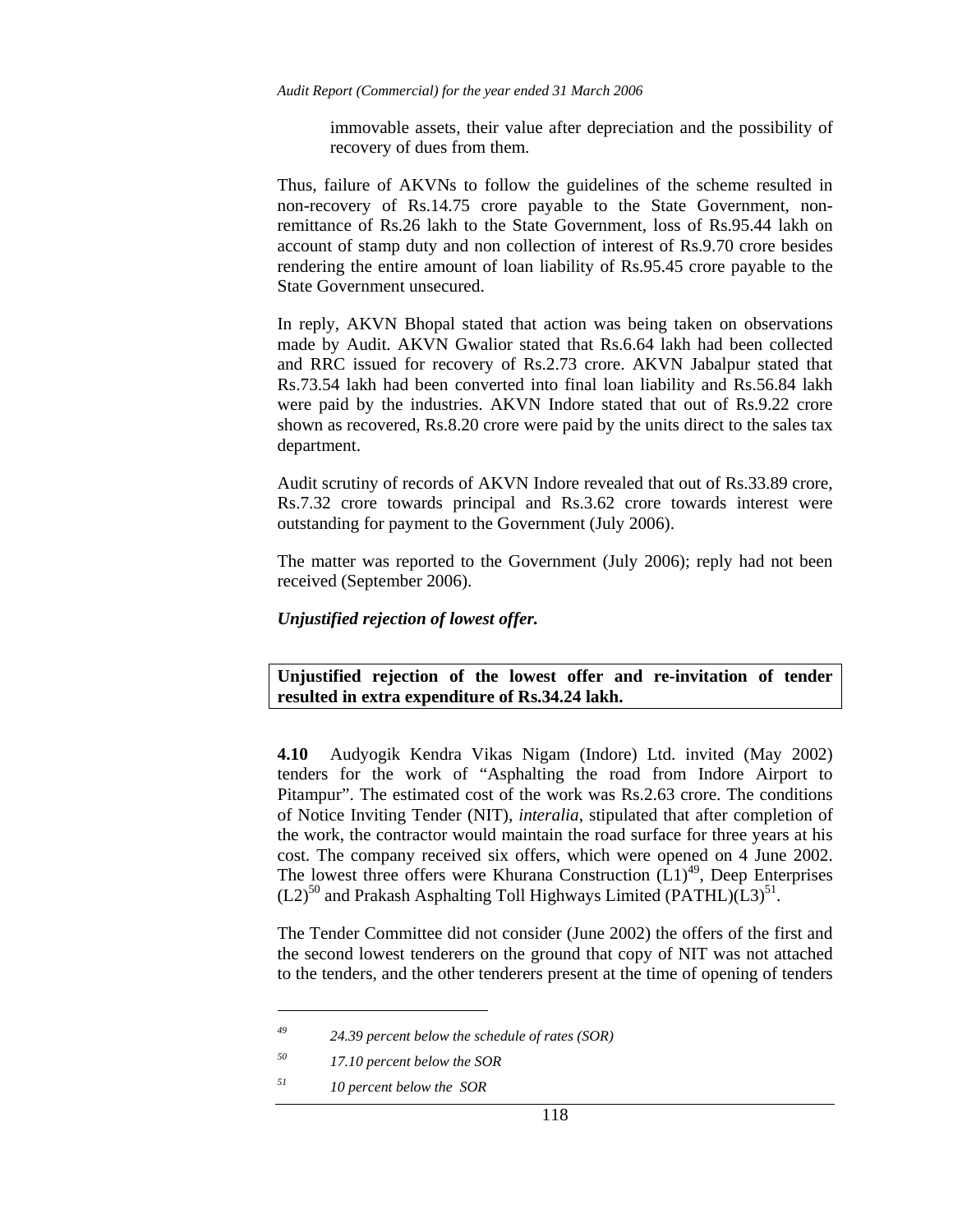immovable assets, their value after depreciation and the possibility of recovery of dues from them.

Thus, failure of AKVNs to follow the guidelines of the scheme resulted in non-recovery of Rs.14.75 crore payable to the State Government, nonremittance of Rs.26 lakh to the State Government, loss of Rs.95.44 lakh on account of stamp duty and non collection of interest of Rs.9.70 crore besides rendering the entire amount of loan liability of Rs.95.45 crore payable to the State Government unsecured.

In reply, AKVN Bhopal stated that action was being taken on observations made by Audit. AKVN Gwalior stated that Rs.6.64 lakh had been collected and RRC issued for recovery of Rs.2.73 crore. AKVN Jabalpur stated that Rs.73.54 lakh had been converted into final loan liability and Rs.56.84 lakh were paid by the industries. AKVN Indore stated that out of Rs.9.22 crore shown as recovered, Rs.8.20 crore were paid by the units direct to the sales tax department.

Audit scrutiny of records of AKVN Indore revealed that out of Rs.33.89 crore, Rs.7.32 crore towards principal and Rs.3.62 crore towards interest were outstanding for payment to the Government (July 2006).

The matter was reported to the Government (July 2006); reply had not been received (September 2006).

*Unjustified rejection of lowest offer.* 

**Unjustified rejection of the lowest offer and re-invitation of tender resulted in extra expenditure of Rs.34.24 lakh.** 

**4.10** Audyogik Kendra Vikas Nigam (Indore) Ltd. invited (May 2002) tenders for the work of "Asphalting the road from Indore Airport to Pitampur". The estimated cost of the work was Rs.2.63 crore. The conditions of Notice Inviting Tender (NIT), *interalia*, stipulated that after completion of the work, the contractor would maintain the road surface for three years at his cost. The company received six offers, which were opened on 4 June 2002. The lowest three offers were Khurana Construction  $(L1)<sup>49</sup>$ , Deep Enterprises  $(L2)^{50}$  and Prakash Asphalting Toll Highways Limited (PATHL) $(L3)^{51}$ .

The Tender Committee did not consider (June 2002) the offers of the first and the second lowest tenderers on the ground that copy of NIT was not attached to the tenders, and the other tenderers present at the time of opening of tenders

*<sup>49 24.39</sup> percent below the schedule of rates (SOR)* 

*<sup>50 17.10</sup> percent below the SOR* 

*<sup>51 10</sup> percent below the SOR*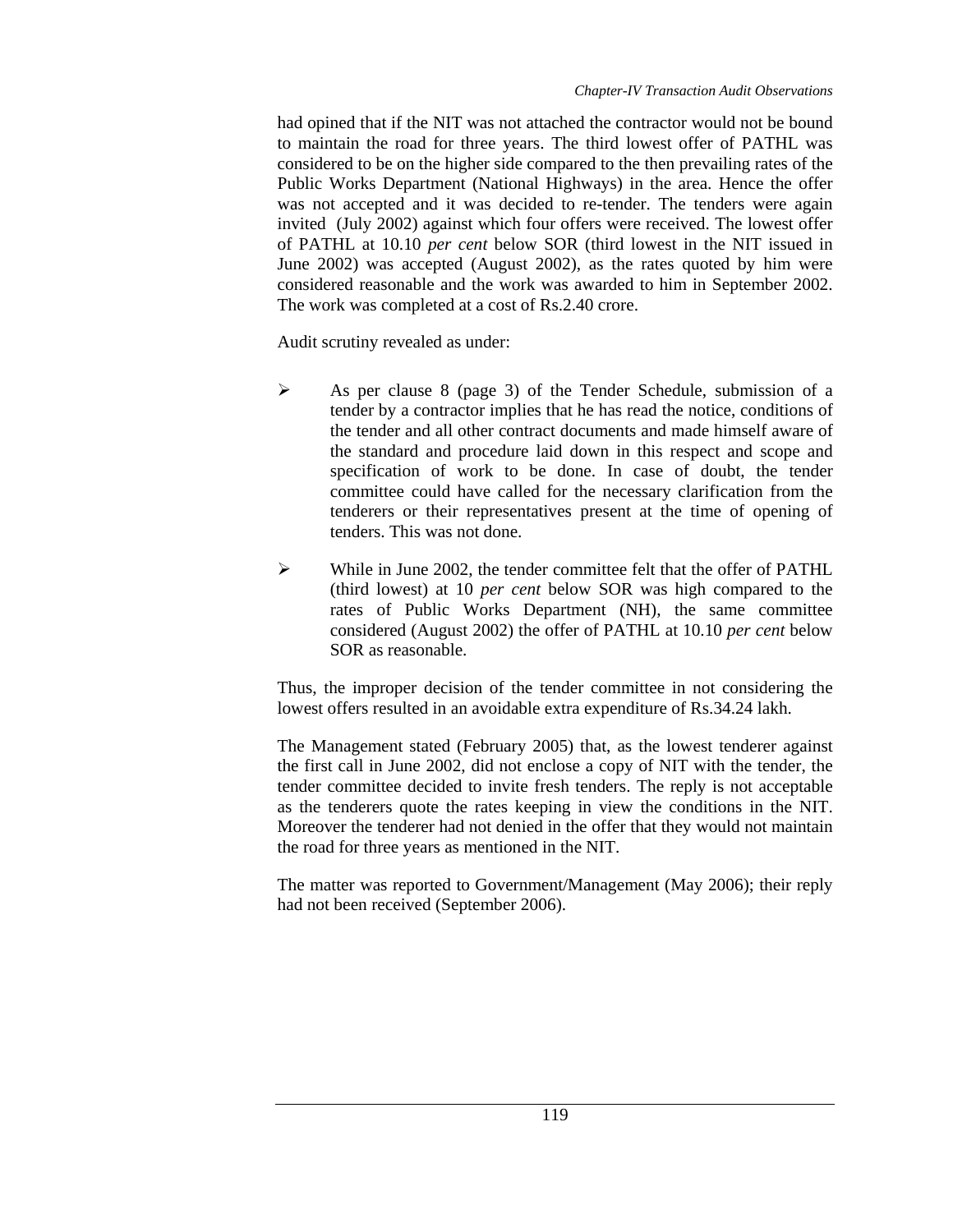had opined that if the NIT was not attached the contractor would not be bound to maintain the road for three years. The third lowest offer of PATHL was considered to be on the higher side compared to the then prevailing rates of the Public Works Department (National Highways) in the area. Hence the offer was not accepted and it was decided to re-tender. The tenders were again invited (July 2002) against which four offers were received. The lowest offer of PATHL at 10.10 *per cent* below SOR (third lowest in the NIT issued in June 2002) was accepted (August 2002), as the rates quoted by him were considered reasonable and the work was awarded to him in September 2002. The work was completed at a cost of Rs.2.40 crore.

Audit scrutiny revealed as under:

- $\triangleright$  As per clause 8 (page 3) of the Tender Schedule, submission of a tender by a contractor implies that he has read the notice, conditions of the tender and all other contract documents and made himself aware of the standard and procedure laid down in this respect and scope and specification of work to be done. In case of doubt, the tender committee could have called for the necessary clarification from the tenderers or their representatives present at the time of opening of tenders. This was not done.
- $\blacktriangleright$  While in June 2002, the tender committee felt that the offer of PATHL (third lowest) at 10 *per cent* below SOR was high compared to the rates of Public Works Department (NH), the same committee considered (August 2002) the offer of PATHL at 10.10 *per cent* below SOR as reasonable.

Thus, the improper decision of the tender committee in not considering the lowest offers resulted in an avoidable extra expenditure of Rs.34.24 lakh.

The Management stated (February 2005) that, as the lowest tenderer against the first call in June 2002, did not enclose a copy of NIT with the tender, the tender committee decided to invite fresh tenders. The reply is not acceptable as the tenderers quote the rates keeping in view the conditions in the NIT. Moreover the tenderer had not denied in the offer that they would not maintain the road for three years as mentioned in the NIT.

The matter was reported to Government/Management (May 2006); their reply had not been received (September 2006).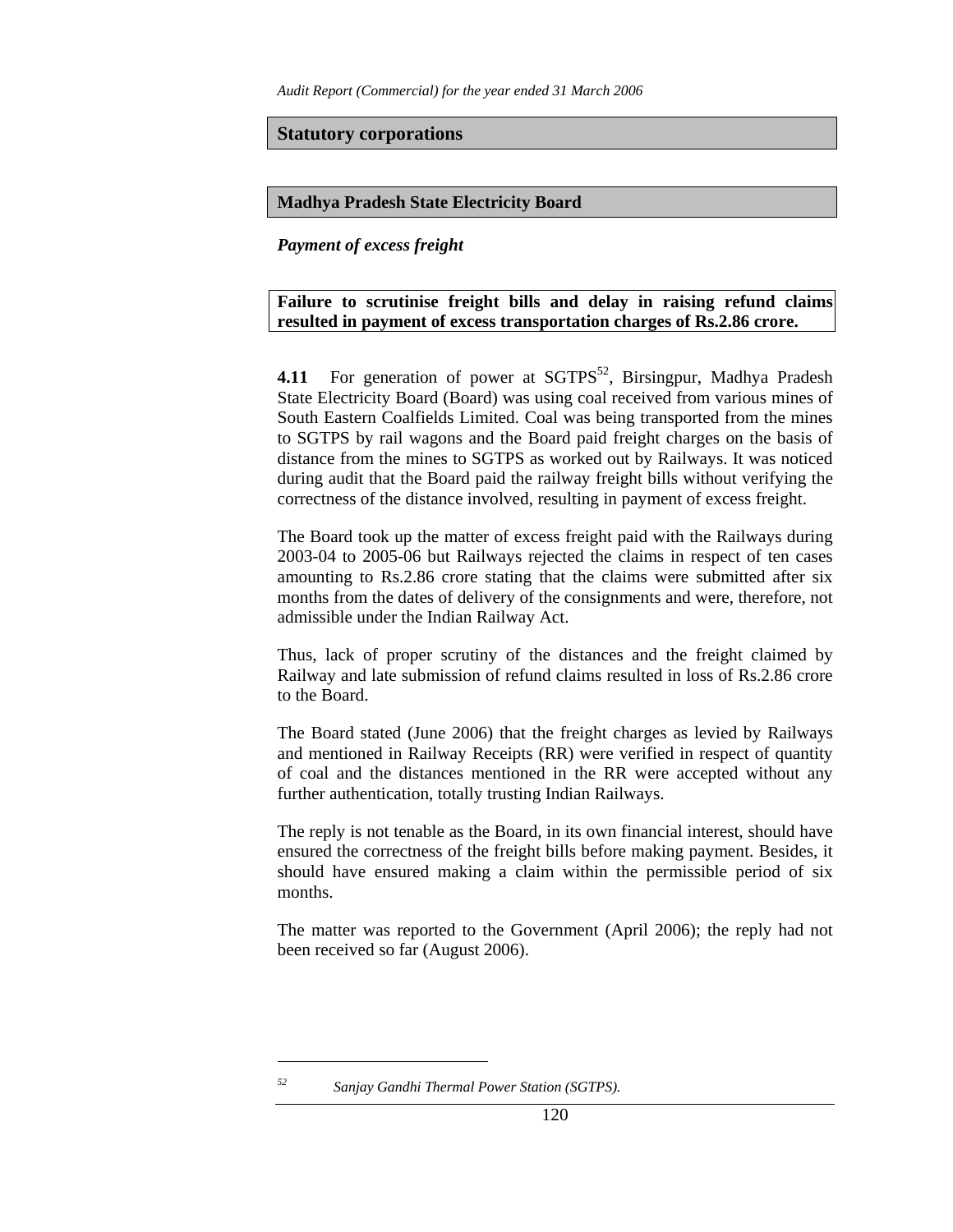*Audit Report (Commercial) for the year ended 31 March 2006* 

**Statutory corporations**

### **Madhya Pradesh State Electricity Board**

*Payment of excess freight* 

**Failure to scrutinise freight bills and delay in raising refund claims resulted in payment of excess transportation charges of Rs.2.86 crore.** 

**4.11** For generation of power at SGTPS<sup>52</sup>, Birsingpur, Madhya Pradesh State Electricity Board (Board) was using coal received from various mines of South Eastern Coalfields Limited. Coal was being transported from the mines to SGTPS by rail wagons and the Board paid freight charges on the basis of distance from the mines to SGTPS as worked out by Railways. It was noticed during audit that the Board paid the railway freight bills without verifying the correctness of the distance involved, resulting in payment of excess freight.

The Board took up the matter of excess freight paid with the Railways during 2003-04 to 2005-06 but Railways rejected the claims in respect of ten cases amounting to Rs.2.86 crore stating that the claims were submitted after six months from the dates of delivery of the consignments and were, therefore, not admissible under the Indian Railway Act.

Thus, lack of proper scrutiny of the distances and the freight claimed by Railway and late submission of refund claims resulted in loss of Rs.2.86 crore to the Board.

The Board stated (June 2006) that the freight charges as levied by Railways and mentioned in Railway Receipts (RR) were verified in respect of quantity of coal and the distances mentioned in the RR were accepted without any further authentication, totally trusting Indian Railways.

The reply is not tenable as the Board, in its own financial interest, should have ensured the correctness of the freight bills before making payment. Besides, it should have ensured making a claim within the permissible period of six months.

The matter was reported to the Government (April 2006); the reply had not been received so far (August 2006).

*<sup>52</sup> Sanjay Gandhi Thermal Power Station (SGTPS).*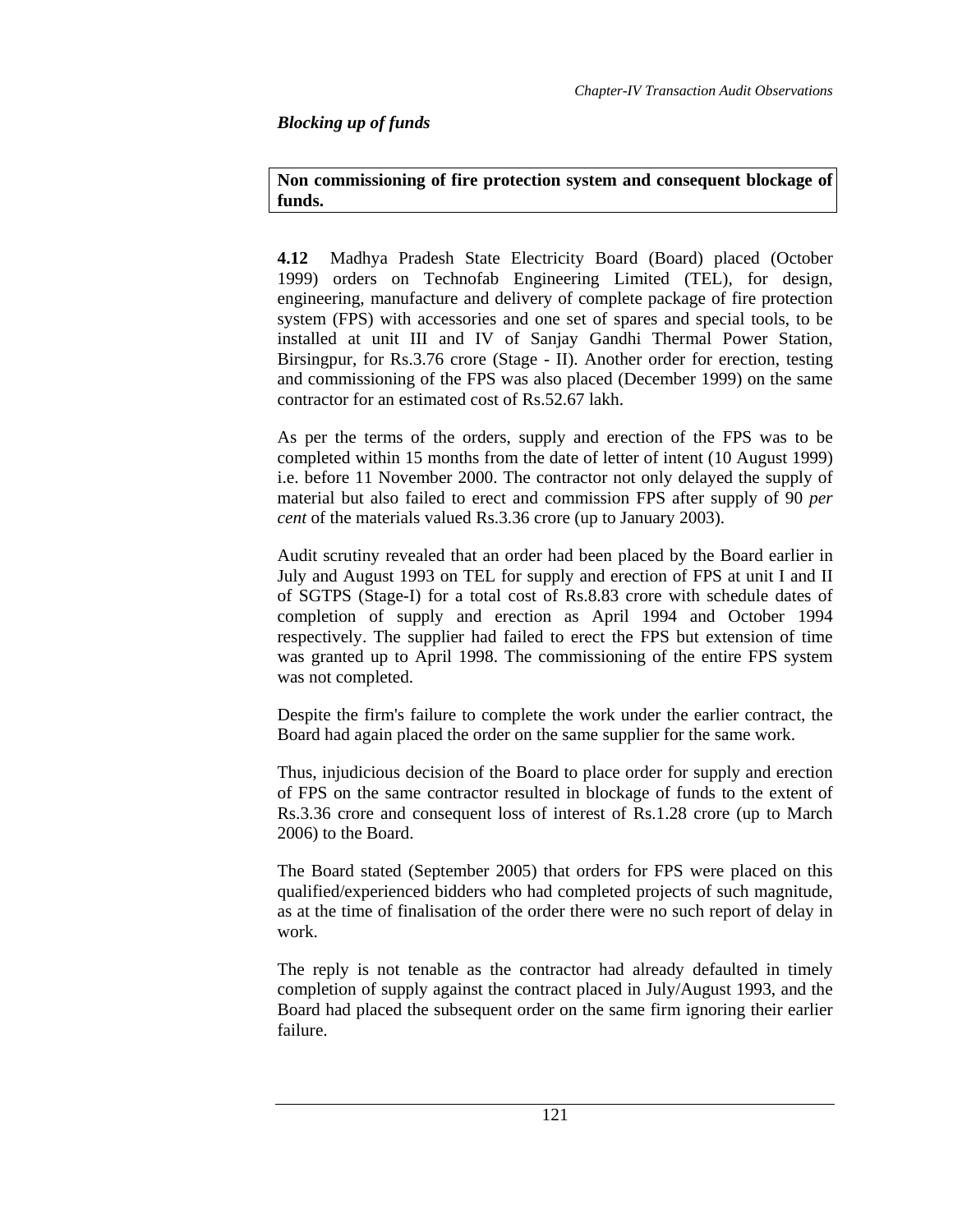# *Blocking up of funds*

## **Non commissioning of fire protection system and consequent blockage of funds.**

**4.12** Madhya Pradesh State Electricity Board (Board) placed (October 1999) orders on Technofab Engineering Limited (TEL), for design, engineering, manufacture and delivery of complete package of fire protection system (FPS) with accessories and one set of spares and special tools, to be installed at unit III and IV of Sanjay Gandhi Thermal Power Station, Birsingpur, for Rs.3.76 crore (Stage - II). Another order for erection, testing and commissioning of the FPS was also placed (December 1999) on the same contractor for an estimated cost of Rs.52.67 lakh.

As per the terms of the orders, supply and erection of the FPS was to be completed within 15 months from the date of letter of intent (10 August 1999) i.e. before 11 November 2000. The contractor not only delayed the supply of material but also failed to erect and commission FPS after supply of 90 *per cent* of the materials valued Rs.3.36 crore (up to January 2003).

Audit scrutiny revealed that an order had been placed by the Board earlier in July and August 1993 on TEL for supply and erection of FPS at unit I and II of SGTPS (Stage-I) for a total cost of Rs.8.83 crore with schedule dates of completion of supply and erection as April 1994 and October 1994 respectively. The supplier had failed to erect the FPS but extension of time was granted up to April 1998. The commissioning of the entire FPS system was not completed.

Despite the firm's failure to complete the work under the earlier contract, the Board had again placed the order on the same supplier for the same work.

Thus, injudicious decision of the Board to place order for supply and erection of FPS on the same contractor resulted in blockage of funds to the extent of Rs.3.36 crore and consequent loss of interest of Rs.1.28 crore (up to March 2006) to the Board.

The Board stated (September 2005) that orders for FPS were placed on this qualified/experienced bidders who had completed projects of such magnitude, as at the time of finalisation of the order there were no such report of delay in work.

The reply is not tenable as the contractor had already defaulted in timely completion of supply against the contract placed in July/August 1993, and the Board had placed the subsequent order on the same firm ignoring their earlier failure.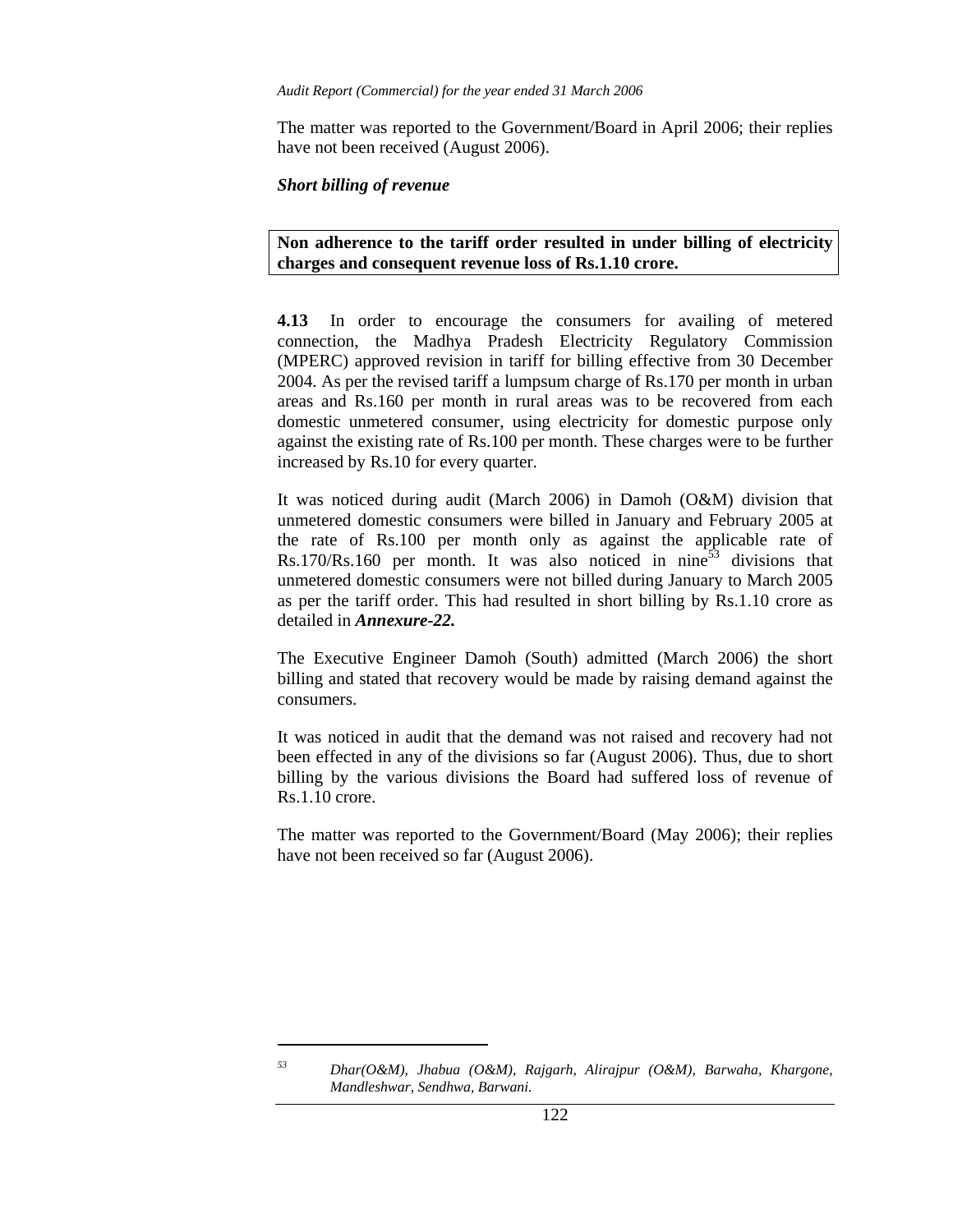The matter was reported to the Government/Board in April 2006; their replies have not been received (August 2006).

### *Short billing of revenue*

l

**Non adherence to the tariff order resulted in under billing of electricity charges and consequent revenue loss of Rs.1.10 crore.** 

**4.13** In order to encourage the consumers for availing of metered connection, the Madhya Pradesh Electricity Regulatory Commission (MPERC) approved revision in tariff for billing effective from 30 December 2004. As per the revised tariff a lumpsum charge of Rs.170 per month in urban areas and Rs.160 per month in rural areas was to be recovered from each domestic unmetered consumer, using electricity for domestic purpose only against the existing rate of Rs.100 per month. These charges were to be further increased by Rs.10 for every quarter.

It was noticed during audit (March 2006) in Damoh (O&M) division that unmetered domestic consumers were billed in January and February 2005 at the rate of Rs.100 per month only as against the applicable rate of Rs.170/Rs.160 per month. It was also noticed in nine<sup>53</sup> divisions that unmetered domestic consumers were not billed during January to March 2005 as per the tariff order. This had resulted in short billing by Rs.1.10 crore as detailed in *Annexure-22.* 

The Executive Engineer Damoh (South) admitted (March 2006) the short billing and stated that recovery would be made by raising demand against the consumers.

It was noticed in audit that the demand was not raised and recovery had not been effected in any of the divisions so far (August 2006). Thus, due to short billing by the various divisions the Board had suffered loss of revenue of Rs.1.10 crore.

The matter was reported to the Government/Board (May 2006); their replies have not been received so far (August 2006).

*<sup>53</sup> Dhar(O&M), Jhabua (O&M), Rajgarh, Alirajpur (O&M), Barwaha, Khargone, Mandleshwar, Sendhwa, Barwani.*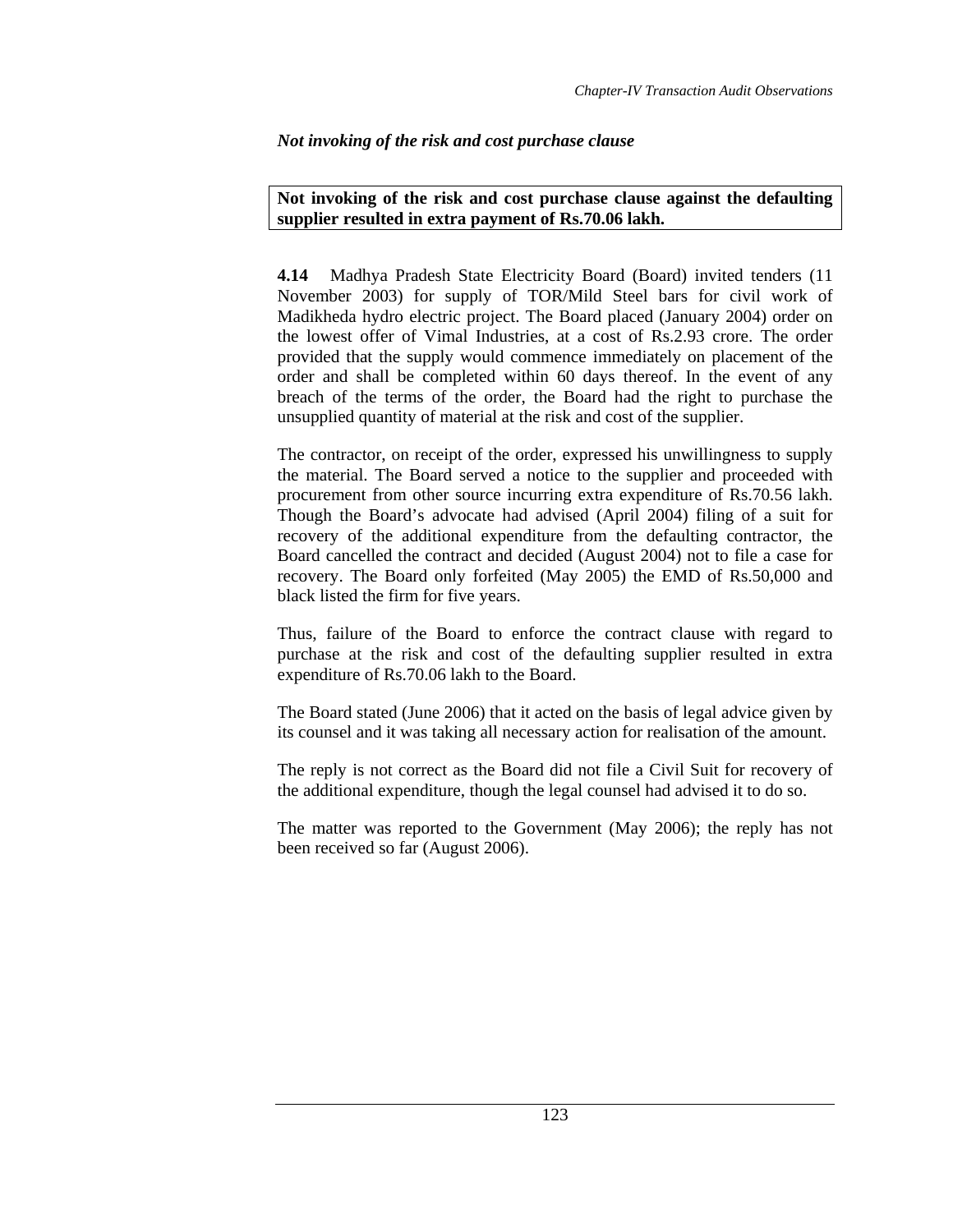# *Not invoking of the risk and cost purchase clause*

## **Not invoking of the risk and cost purchase clause against the defaulting supplier resulted in extra payment of Rs.70.06 lakh.**

**4.14** Madhya Pradesh State Electricity Board (Board) invited tenders (11 November 2003) for supply of TOR/Mild Steel bars for civil work of Madikheda hydro electric project. The Board placed (January 2004) order on the lowest offer of Vimal Industries, at a cost of Rs.2.93 crore. The order provided that the supply would commence immediately on placement of the order and shall be completed within 60 days thereof. In the event of any breach of the terms of the order, the Board had the right to purchase the unsupplied quantity of material at the risk and cost of the supplier.

The contractor, on receipt of the order, expressed his unwillingness to supply the material. The Board served a notice to the supplier and proceeded with procurement from other source incurring extra expenditure of Rs.70.56 lakh. Though the Board's advocate had advised (April 2004) filing of a suit for recovery of the additional expenditure from the defaulting contractor, the Board cancelled the contract and decided (August 2004) not to file a case for recovery. The Board only forfeited (May 2005) the EMD of Rs.50,000 and black listed the firm for five years.

Thus, failure of the Board to enforce the contract clause with regard to purchase at the risk and cost of the defaulting supplier resulted in extra expenditure of Rs.70.06 lakh to the Board.

The Board stated (June 2006) that it acted on the basis of legal advice given by its counsel and it was taking all necessary action for realisation of the amount.

The reply is not correct as the Board did not file a Civil Suit for recovery of the additional expenditure, though the legal counsel had advised it to do so.

The matter was reported to the Government (May 2006); the reply has not been received so far (August 2006).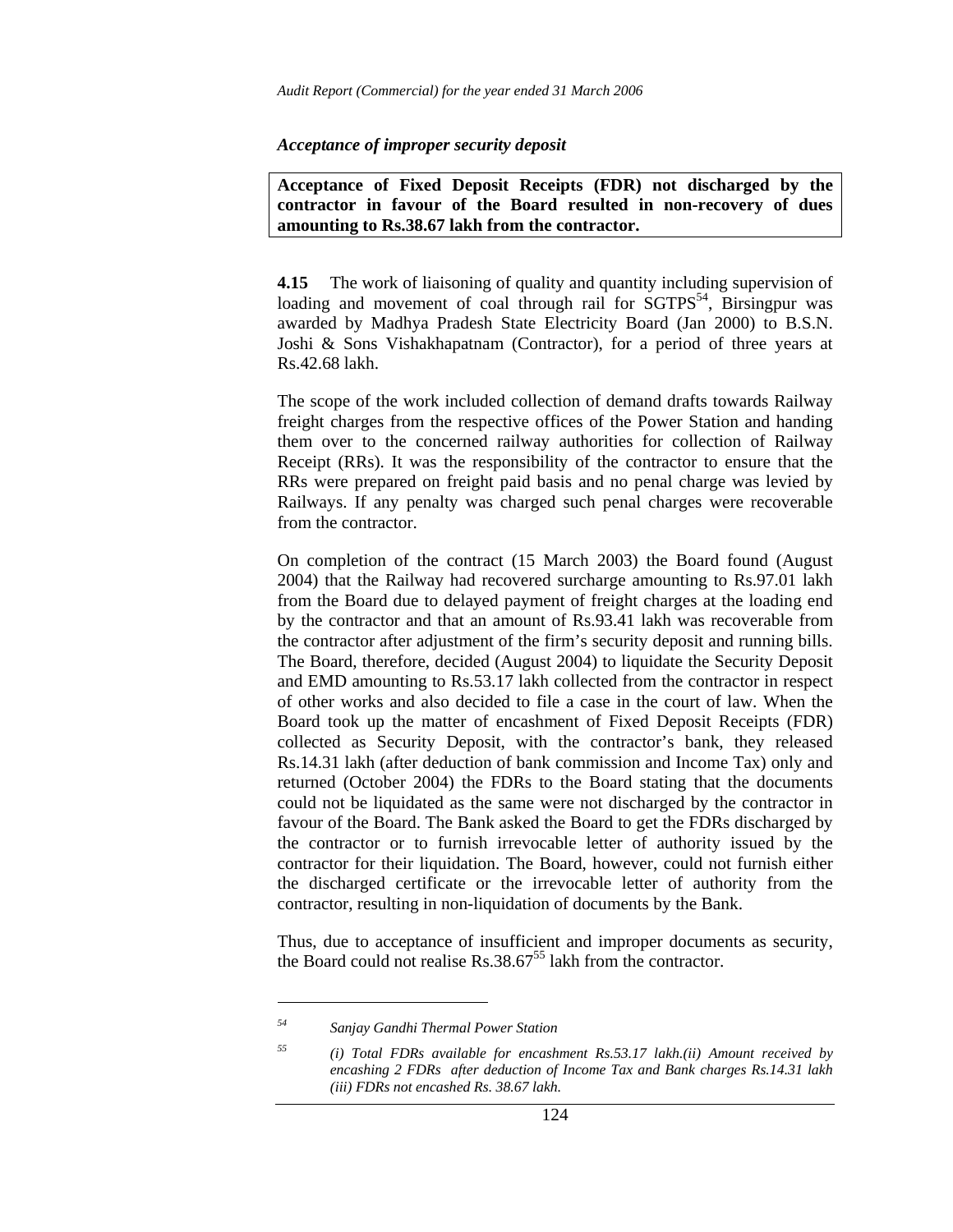#### *Acceptance of improper security deposit*

**Acceptance of Fixed Deposit Receipts (FDR) not discharged by the contractor in favour of the Board resulted in non-recovery of dues amounting to Rs.38.67 lakh from the contractor.** 

**4.15** The work of liaisoning of quality and quantity including supervision of loading and movement of coal through rail for SGTPS<sup>54</sup>, Birsingpur was awarded by Madhya Pradesh State Electricity Board (Jan 2000) to B.S.N. Joshi & Sons Vishakhapatnam (Contractor), for a period of three years at Rs.42.68 lakh.

The scope of the work included collection of demand drafts towards Railway freight charges from the respective offices of the Power Station and handing them over to the concerned railway authorities for collection of Railway Receipt (RRs). It was the responsibility of the contractor to ensure that the RRs were prepared on freight paid basis and no penal charge was levied by Railways. If any penalty was charged such penal charges were recoverable from the contractor.

On completion of the contract (15 March 2003) the Board found (August 2004) that the Railway had recovered surcharge amounting to Rs.97.01 lakh from the Board due to delayed payment of freight charges at the loading end by the contractor and that an amount of Rs.93.41 lakh was recoverable from the contractor after adjustment of the firm's security deposit and running bills. The Board, therefore, decided (August 2004) to liquidate the Security Deposit and EMD amounting to Rs.53.17 lakh collected from the contractor in respect of other works and also decided to file a case in the court of law. When the Board took up the matter of encashment of Fixed Deposit Receipts (FDR) collected as Security Deposit, with the contractor's bank, they released Rs.14.31 lakh (after deduction of bank commission and Income Tax) only and returned (October 2004) the FDRs to the Board stating that the documents could not be liquidated as the same were not discharged by the contractor in favour of the Board. The Bank asked the Board to get the FDRs discharged by the contractor or to furnish irrevocable letter of authority issued by the contractor for their liquidation. The Board, however, could not furnish either the discharged certificate or the irrevocable letter of authority from the contractor, resulting in non-liquidation of documents by the Bank.

Thus, due to acceptance of insufficient and improper documents as security, the Board could not realise  $\text{Rs.38.67}^{55}$  lakh from the contractor.

 $\overline{a}$ 

*<sup>54</sup> Sanjay Gandhi Thermal Power Station* 

*<sup>55 (</sup>i) Total FDRs available for encashment Rs.53.17 lakh.(ii) Amount received by encashing 2 FDRs after deduction of Income Tax and Bank charges Rs.14.31 lakh (iii) FDRs not encashed Rs. 38.67 lakh.*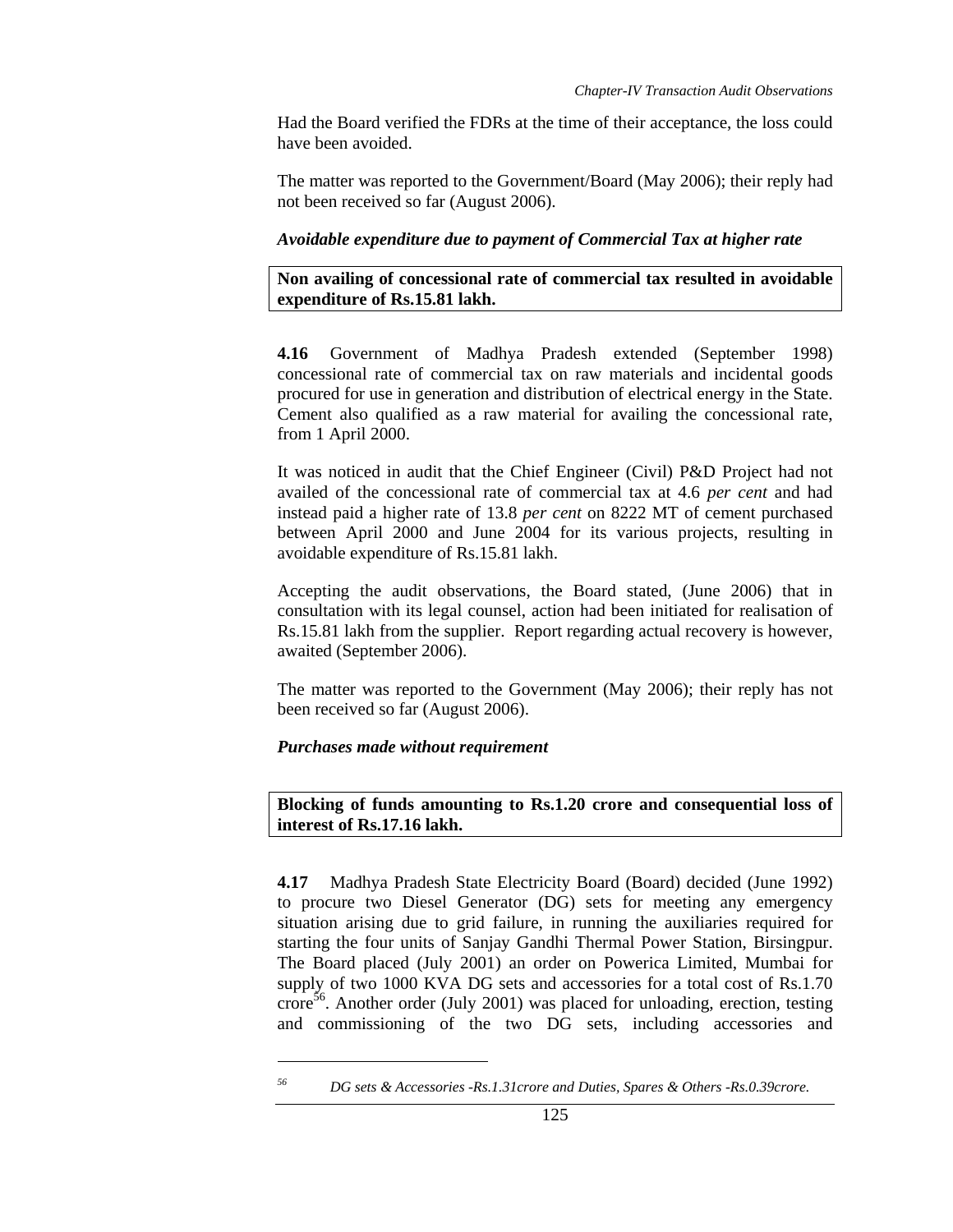Had the Board verified the FDRs at the time of their acceptance, the loss could have been avoided.

The matter was reported to the Government/Board (May 2006); their reply had not been received so far (August 2006).

### *Avoidable expenditure due to payment of Commercial Tax at higher rate*

**Non availing of concessional rate of commercial tax resulted in avoidable expenditure of Rs.15.81 lakh.** 

**4.16** Government of Madhya Pradesh extended (September 1998) concessional rate of commercial tax on raw materials and incidental goods procured for use in generation and distribution of electrical energy in the State. Cement also qualified as a raw material for availing the concessional rate, from 1 April 2000.

It was noticed in audit that the Chief Engineer (Civil) P&D Project had not availed of the concessional rate of commercial tax at 4.6 *per cent* and had instead paid a higher rate of 13.8 *per cent* on 8222 MT of cement purchased between April 2000 and June 2004 for its various projects, resulting in avoidable expenditure of Rs.15.81 lakh.

Accepting the audit observations, the Board stated, (June 2006) that in consultation with its legal counsel, action had been initiated for realisation of Rs.15.81 lakh from the supplier. Report regarding actual recovery is however, awaited (September 2006).

The matter was reported to the Government (May 2006); their reply has not been received so far (August 2006).

### *Purchases made without requirement*

l

**Blocking of funds amounting to Rs.1.20 crore and consequential loss of interest of Rs.17.16 lakh.** 

**4.17** Madhya Pradesh State Electricity Board (Board) decided (June 1992) to procure two Diesel Generator (DG) sets for meeting any emergency situation arising due to grid failure, in running the auxiliaries required for starting the four units of Sanjay Gandhi Thermal Power Station, Birsingpur. The Board placed (July 2001) an order on Powerica Limited, Mumbai for supply of two 1000 KVA DG sets and accessories for a total cost of Rs.1.70  $\overline{\text{core}}^{56}$ . Another order (July 2001) was placed for unloading, erection, testing and commissioning of the two DG sets, including accessories and

*<sup>56</sup> DG sets & Accessories -Rs.1.31crore and Duties, Spares & Others -Rs.0.39crore.*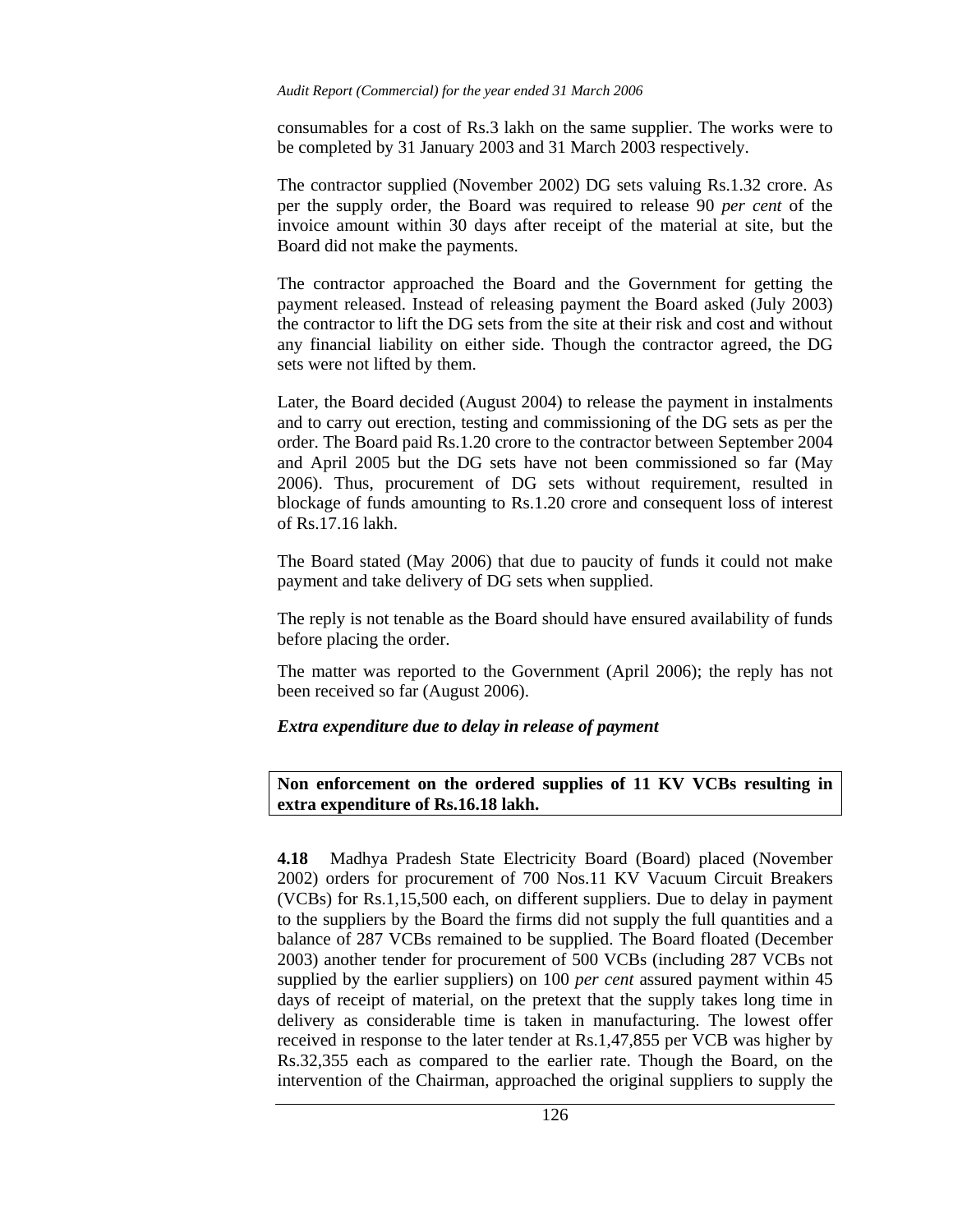consumables for a cost of Rs.3 lakh on the same supplier. The works were to be completed by 31 January 2003 and 31 March 2003 respectively.

The contractor supplied (November 2002) DG sets valuing Rs.1.32 crore. As per the supply order, the Board was required to release 90 *per cent* of the invoice amount within 30 days after receipt of the material at site, but the Board did not make the payments.

The contractor approached the Board and the Government for getting the payment released. Instead of releasing payment the Board asked (July 2003) the contractor to lift the DG sets from the site at their risk and cost and without any financial liability on either side. Though the contractor agreed, the DG sets were not lifted by them.

Later, the Board decided (August 2004) to release the payment in instalments and to carry out erection, testing and commissioning of the DG sets as per the order. The Board paid Rs.1.20 crore to the contractor between September 2004 and April 2005 but the DG sets have not been commissioned so far (May 2006). Thus, procurement of DG sets without requirement, resulted in blockage of funds amounting to Rs.1.20 crore and consequent loss of interest of Rs.17.16 lakh.

The Board stated (May 2006) that due to paucity of funds it could not make payment and take delivery of DG sets when supplied.

The reply is not tenable as the Board should have ensured availability of funds before placing the order.

The matter was reported to the Government (April 2006); the reply has not been received so far (August 2006).

### *Extra expenditure due to delay in release of payment*

### **Non enforcement on the ordered supplies of 11 KV VCBs resulting in extra expenditure of Rs.16.18 lakh.**

**4.18** Madhya Pradesh State Electricity Board (Board) placed (November 2002) orders for procurement of 700 Nos.11 KV Vacuum Circuit Breakers (VCBs) for Rs.1,15,500 each, on different suppliers. Due to delay in payment to the suppliers by the Board the firms did not supply the full quantities and a balance of 287 VCBs remained to be supplied. The Board floated (December 2003) another tender for procurement of 500 VCBs (including 287 VCBs not supplied by the earlier suppliers) on 100 *per cent* assured payment within 45 days of receipt of material, on the pretext that the supply takes long time in delivery as considerable time is taken in manufacturing. The lowest offer received in response to the later tender at Rs.1,47,855 per VCB was higher by Rs.32,355 each as compared to the earlier rate. Though the Board, on the intervention of the Chairman, approached the original suppliers to supply the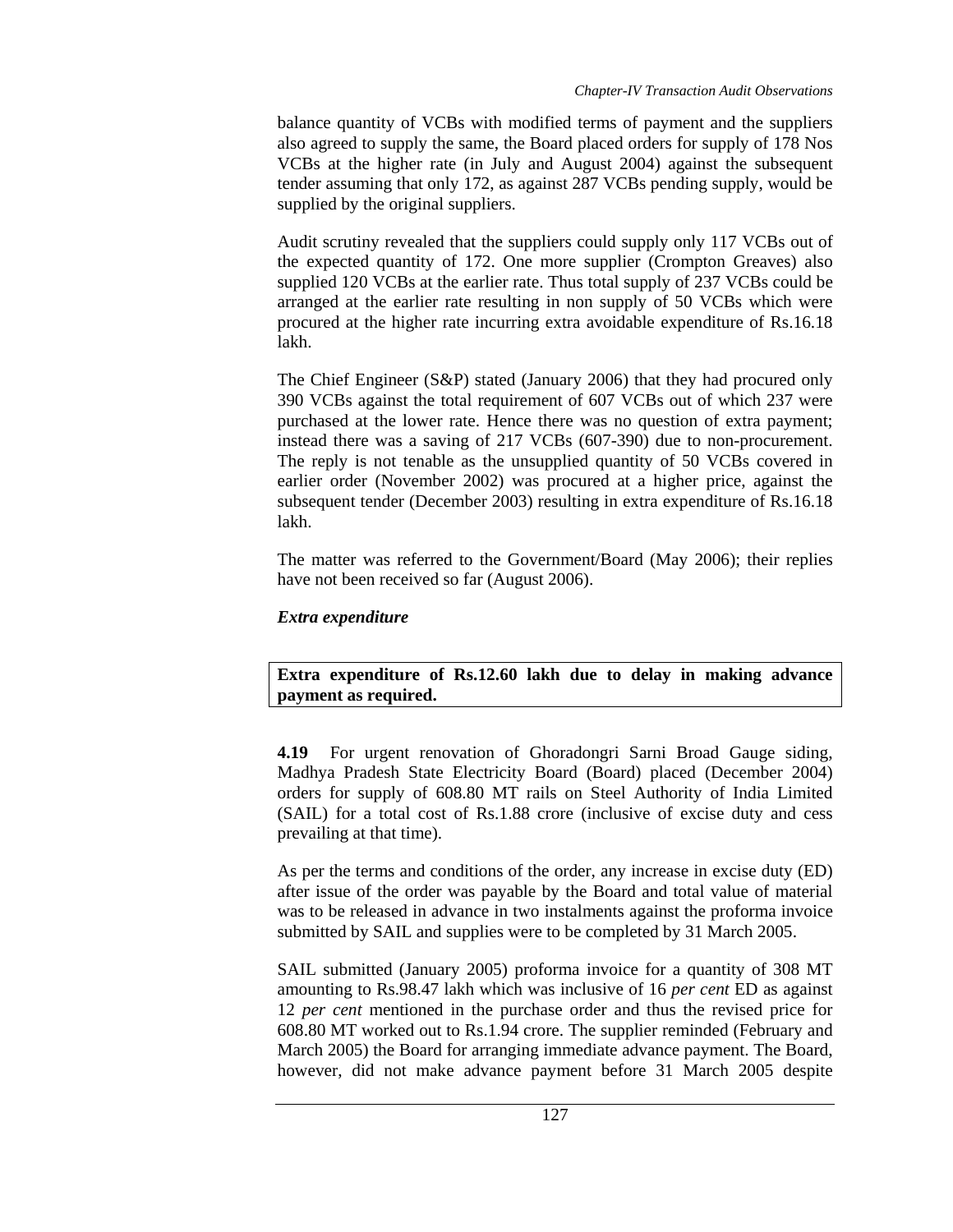balance quantity of VCBs with modified terms of payment and the suppliers also agreed to supply the same, the Board placed orders for supply of 178 Nos VCBs at the higher rate (in July and August 2004) against the subsequent tender assuming that only 172, as against 287 VCBs pending supply, would be supplied by the original suppliers.

Audit scrutiny revealed that the suppliers could supply only 117 VCBs out of the expected quantity of 172. One more supplier (Crompton Greaves) also supplied 120 VCBs at the earlier rate. Thus total supply of 237 VCBs could be arranged at the earlier rate resulting in non supply of 50 VCBs which were procured at the higher rate incurring extra avoidable expenditure of Rs.16.18 lakh.

The Chief Engineer (S&P) stated (January 2006) that they had procured only 390 VCBs against the total requirement of 607 VCBs out of which 237 were purchased at the lower rate. Hence there was no question of extra payment; instead there was a saving of 217 VCBs (607-390) due to non-procurement. The reply is not tenable as the unsupplied quantity of 50 VCBs covered in earlier order (November 2002) was procured at a higher price, against the subsequent tender (December 2003) resulting in extra expenditure of Rs.16.18 lakh.

The matter was referred to the Government/Board (May 2006); their replies have not been received so far (August 2006).

# *Extra expenditure*

**Extra expenditure of Rs.12.60 lakh due to delay in making advance payment as required.** 

**4.19** For urgent renovation of Ghoradongri Sarni Broad Gauge siding, Madhya Pradesh State Electricity Board (Board) placed (December 2004) orders for supply of 608.80 MT rails on Steel Authority of India Limited (SAIL) for a total cost of Rs.1.88 crore (inclusive of excise duty and cess prevailing at that time).

As per the terms and conditions of the order, any increase in excise duty (ED) after issue of the order was payable by the Board and total value of material was to be released in advance in two instalments against the proforma invoice submitted by SAIL and supplies were to be completed by 31 March 2005.

SAIL submitted (January 2005) proforma invoice for a quantity of 308 MT amounting to Rs.98.47 lakh which was inclusive of 16 *per cent* ED as against 12 *per cent* mentioned in the purchase order and thus the revised price for 608.80 MT worked out to Rs.1.94 crore. The supplier reminded (February and March 2005) the Board for arranging immediate advance payment. The Board, however, did not make advance payment before 31 March 2005 despite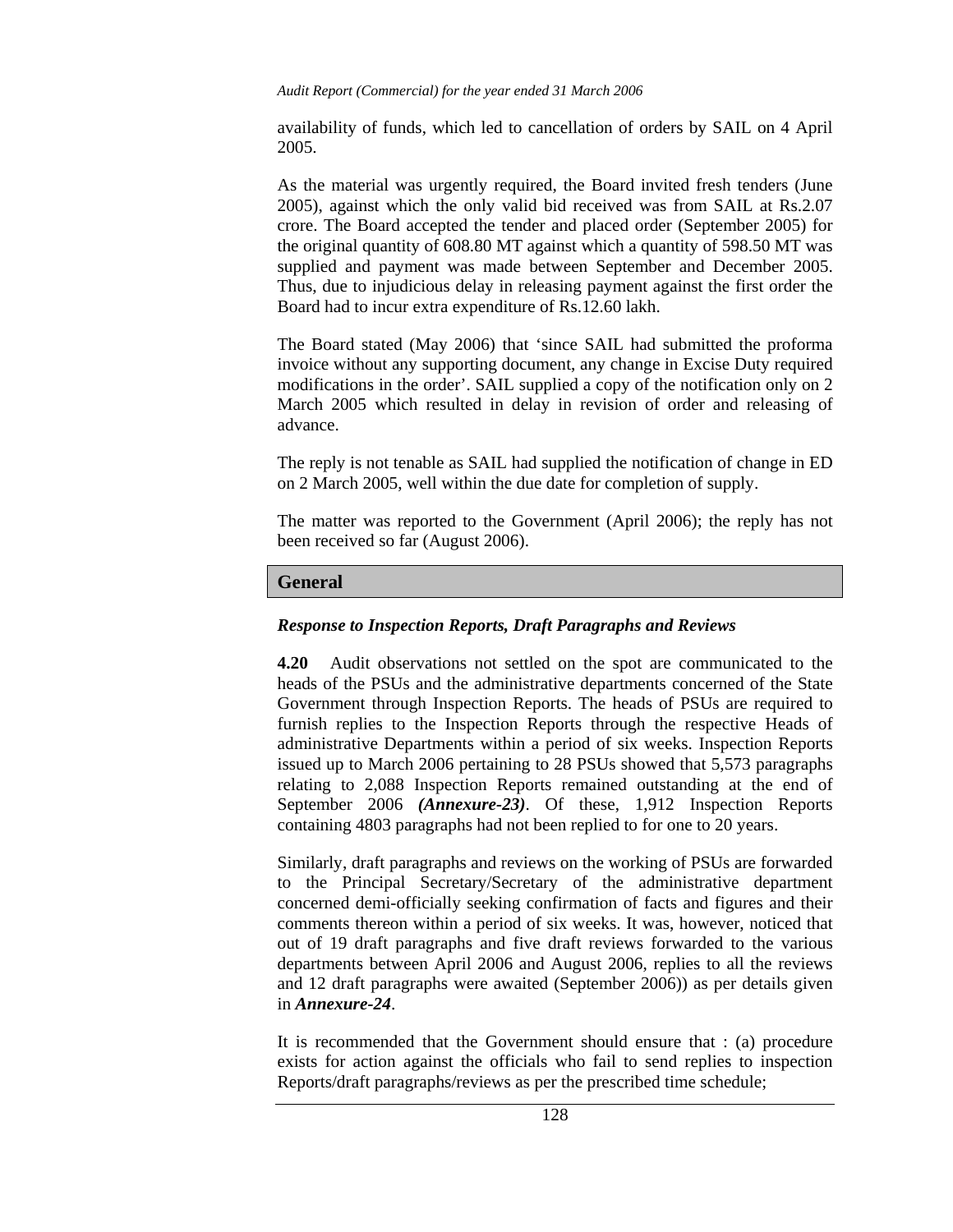availability of funds, which led to cancellation of orders by SAIL on 4 April 2005.

As the material was urgently required, the Board invited fresh tenders (June 2005), against which the only valid bid received was from SAIL at Rs.2.07 crore. The Board accepted the tender and placed order (September 2005) for the original quantity of 608.80 MT against which a quantity of 598.50 MT was supplied and payment was made between September and December 2005. Thus, due to injudicious delay in releasing payment against the first order the Board had to incur extra expenditure of Rs.12.60 lakh.

The Board stated (May 2006) that 'since SAIL had submitted the proforma invoice without any supporting document, any change in Excise Duty required modifications in the order'. SAIL supplied a copy of the notification only on 2 March 2005 which resulted in delay in revision of order and releasing of advance.

The reply is not tenable as SAIL had supplied the notification of change in ED on 2 March 2005, well within the due date for completion of supply.

The matter was reported to the Government (April 2006); the reply has not been received so far (August 2006).

## **General**

## *Response to Inspection Reports, Draft Paragraphs and Reviews*

**4.20** Audit observations not settled on the spot are communicated to the heads of the PSUs and the administrative departments concerned of the State Government through Inspection Reports. The heads of PSUs are required to furnish replies to the Inspection Reports through the respective Heads of administrative Departments within a period of six weeks. Inspection Reports issued up to March 2006 pertaining to 28 PSUs showed that 5,573 paragraphs relating to 2,088 Inspection Reports remained outstanding at the end of September 2006 *(Annexure-23)*. Of these, 1,912 Inspection Reports containing 4803 paragraphs had not been replied to for one to 20 years.

Similarly, draft paragraphs and reviews on the working of PSUs are forwarded to the Principal Secretary/Secretary of the administrative department concerned demi-officially seeking confirmation of facts and figures and their comments thereon within a period of six weeks. It was, however, noticed that out of 19 draft paragraphs and five draft reviews forwarded to the various departments between April 2006 and August 2006, replies to all the reviews and 12 draft paragraphs were awaited (September 2006)) as per details given in *Annexure-24*.

It is recommended that the Government should ensure that : (a) procedure exists for action against the officials who fail to send replies to inspection Reports/draft paragraphs/reviews as per the prescribed time schedule;